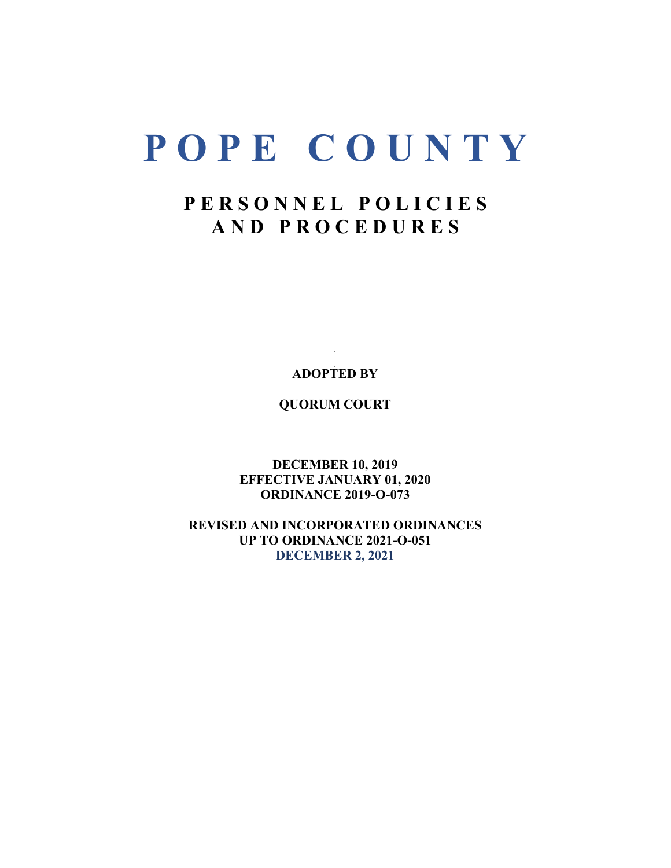# **P O P E C O U N T Y**

# **P E R S O N N E L P O L I C I E S A N D P R O C E D U R E S**

**ADOPTED BY**

**QUORUM COURT**

**DECEMBER 10, 2019 EFFECTIVE JANUARY 01, 2020 ORDINANCE 2019-O-073**

**REVISED AND INCORPORATED ORDINANCES UP TO ORDINANCE 2021-O-051 DECEMBER 2, 2021**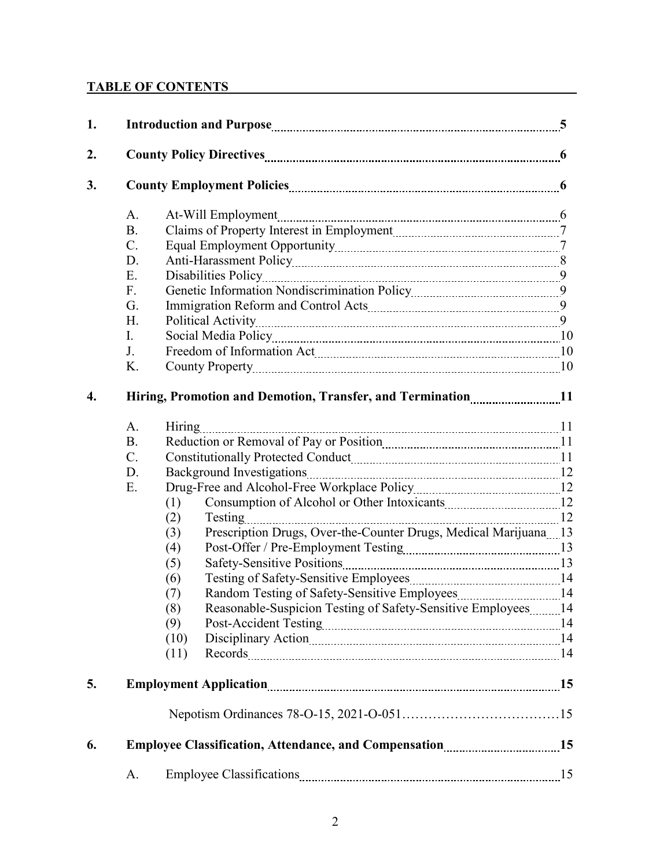# **TABLE OF CONTENTS**

| 1. |                                      |                                                                                                                                                                                                                 |    |  |
|----|--------------------------------------|-----------------------------------------------------------------------------------------------------------------------------------------------------------------------------------------------------------------|----|--|
| 2. |                                      |                                                                                                                                                                                                                 |    |  |
| 3. |                                      |                                                                                                                                                                                                                 |    |  |
|    | A.<br><b>B.</b>                      |                                                                                                                                                                                                                 |    |  |
|    | $C$ .<br>D.<br>E.                    |                                                                                                                                                                                                                 |    |  |
|    | F <sub>r</sub><br>G.                 |                                                                                                                                                                                                                 |    |  |
|    | H.<br>$\mathbf{I}$ .<br>J.           | Social Media Policy [10] Marian Marian Marian Maria Policy [10] Maria Policy [10] Maria Maria Maria Maria Mari                                                                                                  |    |  |
|    | K.                                   | County Property 2010 10                                                                                                                                                                                         |    |  |
| 4. |                                      | Hiring, Promotion and Demotion, Transfer, and Termination11                                                                                                                                                     |    |  |
|    | A.<br><b>B.</b><br>$C$ .<br>D.<br>E. | (1)<br>(2)<br>Prescription Drugs, Over-the-Counter Drugs, Medical Marijuana 13<br>(3)<br>(4)<br>(5)<br>(6)<br>(7)<br>Reasonable-Suspicion Testing of Safety-Sensitive Employees14<br>(8)<br>(9)<br>(10)<br>(11) |    |  |
| 5. |                                      |                                                                                                                                                                                                                 |    |  |
|    |                                      |                                                                                                                                                                                                                 |    |  |
| 6. |                                      |                                                                                                                                                                                                                 |    |  |
|    | А.                                   |                                                                                                                                                                                                                 | 15 |  |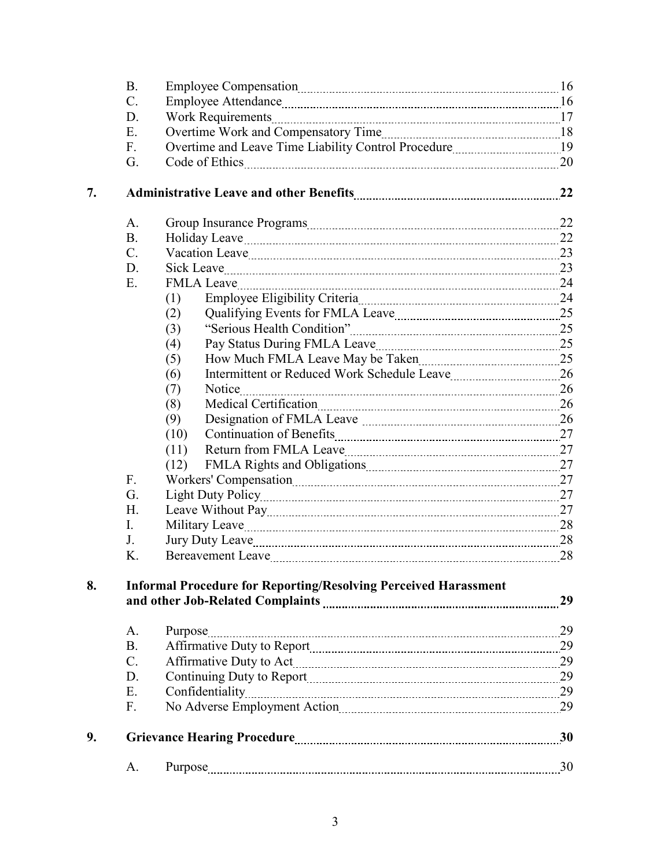|    | <b>B.</b>   | Employee Compensation manual contract and the United States of the United States and To |    |
|----|-------------|-----------------------------------------------------------------------------------------|----|
|    | C.          |                                                                                         |    |
|    | D.          |                                                                                         |    |
|    | E.          |                                                                                         |    |
|    | F.          |                                                                                         |    |
|    | G.          |                                                                                         |    |
| 7. |             |                                                                                         | 22 |
|    | A.          |                                                                                         |    |
|    | <b>B.</b>   |                                                                                         |    |
|    | $C_{\cdot}$ |                                                                                         |    |
|    | D.          | Sick Leave 23                                                                           |    |
|    | Ε.          | FMLA Leave 24                                                                           |    |
|    |             | (1)                                                                                     |    |
|    |             | (2)                                                                                     |    |
|    |             | (3)                                                                                     |    |
|    |             | (4)                                                                                     |    |
|    |             | How Much FMLA Leave May be Taken 25<br>(5)                                              |    |
|    |             | (6)                                                                                     |    |
|    |             | (7)                                                                                     |    |
|    |             | (8)                                                                                     |    |
|    |             | (9)                                                                                     |    |
|    |             | (10)                                                                                    |    |
|    |             | (11)                                                                                    |    |
|    |             | (12)                                                                                    |    |
|    | F.          | Workers' Compensation 27                                                                |    |
|    | G.          |                                                                                         |    |
|    | H.          |                                                                                         |    |
|    | I.          |                                                                                         |    |
|    | J.          |                                                                                         |    |
|    | K.          |                                                                                         |    |
| 8. |             | <b>Informal Procedure for Reporting/Resolving Perceived Harassment</b>                  | 29 |
|    | A.          | Purpose                                                                                 |    |
|    | <b>B.</b>   |                                                                                         |    |
|    | $C$ .       |                                                                                         |    |
|    | D.          | Continuing Duty to Report [11] 29                                                       |    |
|    | E.          |                                                                                         |    |
|    | F.          |                                                                                         |    |
| 9. |             |                                                                                         |    |
|    | A.          |                                                                                         | 30 |
|    |             |                                                                                         |    |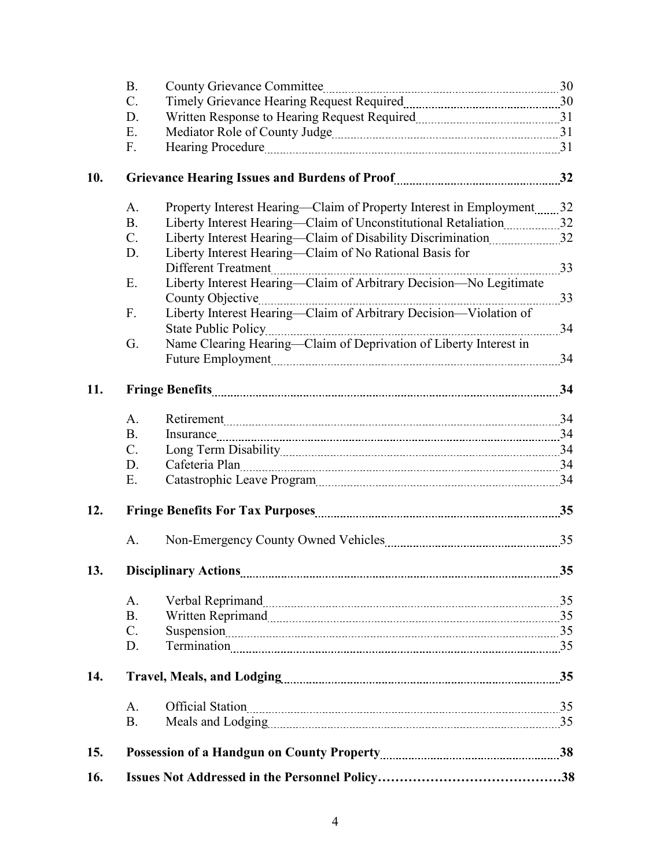| 16. |                 |                                                                                                 |  |
|-----|-----------------|-------------------------------------------------------------------------------------------------|--|
| 15. |                 |                                                                                                 |  |
|     | <b>B.</b>       |                                                                                                 |  |
|     | A.              | Official Station 35                                                                             |  |
| 14. |                 |                                                                                                 |  |
|     | D.              |                                                                                                 |  |
|     | $\mathcal{C}$ . |                                                                                                 |  |
|     | <b>B.</b>       |                                                                                                 |  |
|     | A.              |                                                                                                 |  |
|     |                 |                                                                                                 |  |
| 13. |                 |                                                                                                 |  |
|     | A.              |                                                                                                 |  |
| 12. |                 |                                                                                                 |  |
|     | Ε.              |                                                                                                 |  |
|     | D.              | Cafeteria Plan 14                                                                               |  |
|     | $C_{\cdot}$     |                                                                                                 |  |
|     | <b>B.</b>       | Insurance 24                                                                                    |  |
|     | A.              | Retirement 34                                                                                   |  |
| 11. |                 |                                                                                                 |  |
|     |                 | Future Employment 24                                                                            |  |
|     | G.              | Name Clearing Hearing—Claim of Deprivation of Liberty Interest in                               |  |
|     | F.              | Liberty Interest Hearing-Claim of Arbitrary Decision-Violation of<br><b>State Public Policy</b> |  |
|     |                 |                                                                                                 |  |
|     | E.              | Different Treatment 23<br>Liberty Interest Hearing-Claim of Arbitrary Decision-No Legitimate    |  |
|     | D.              | Liberty Interest Hearing—Claim of No Rational Basis for                                         |  |
|     | $C$ .           | Liberty Interest Hearing-Claim of Disability Discrimination32                                   |  |
|     | <b>B.</b>       | Liberty Interest Hearing-Claim of Unconstitutional Retaliation [11,2003] 32                     |  |
|     | A.              | Property Interest Hearing-Claim of Property Interest in Employment32                            |  |
| 10. |                 |                                                                                                 |  |
|     | F.              |                                                                                                 |  |
|     | E.              |                                                                                                 |  |
|     | D.              |                                                                                                 |  |
|     | C.              |                                                                                                 |  |
|     | <b>B.</b>       |                                                                                                 |  |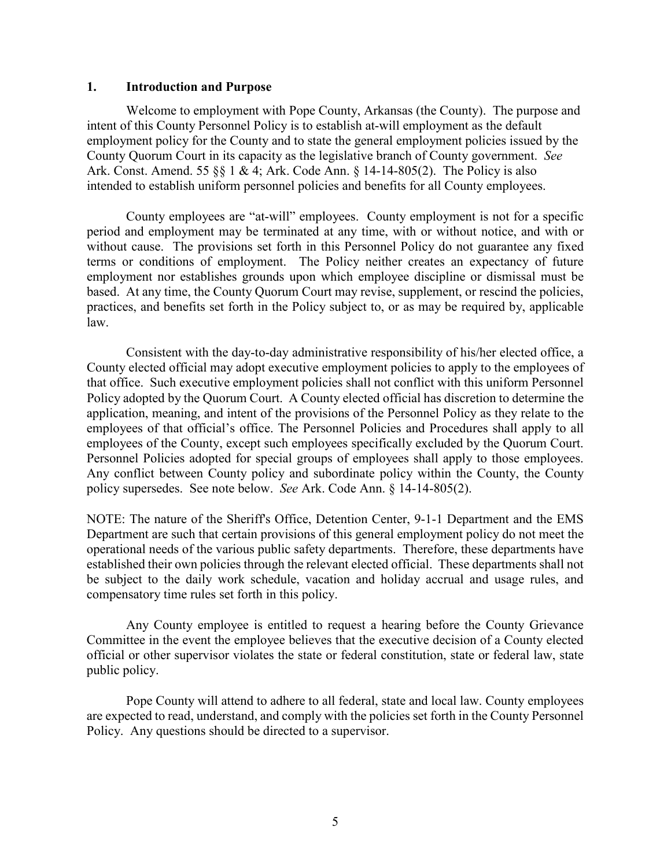#### **1. Introduction and Purpose**

Welcome to employment with Pope County, Arkansas (the County). The purpose and intent of this County Personnel Policy is to establish at-will employment as the default employment policy for the County and to state the general employment policies issued by the County Quorum Court in its capacity as the legislative branch of County government. *See*  Ark. Const. Amend. 55 §§ 1 & 4; Ark. Code Ann. § 14-14-805(2). The Policy is also intended to establish uniform personnel policies and benefits for all County employees.

County employees are "at-will" employees. County employment is not for a specific period and employment may be terminated at any time, with or without notice, and with or without cause. The provisions set forth in this Personnel Policy do not guarantee any fixed terms or conditions of employment. The Policy neither creates an expectancy of future employment nor establishes grounds upon which employee discipline or dismissal must be based. At any time, the County Quorum Court may revise, supplement, or rescind the policies, practices, and benefits set forth in the Policy subject to, or as may be required by, applicable law.

Consistent with the day-to-day administrative responsibility of his/her elected office, a County elected official may adopt executive employment policies to apply to the employees of that office. Such executive employment policies shall not conflict with this uniform Personnel Policy adopted by the Quorum Court. A County elected official has discretion to determine the application, meaning, and intent of the provisions of the Personnel Policy as they relate to the employees of that official's office. The Personnel Policies and Procedures shall apply to all employees of the County, except such employees specifically excluded by the Quorum Court. Personnel Policies adopted for special groups of employees shall apply to those employees. Any conflict between County policy and subordinate policy within the County, the County policy supersedes. See note below. *See* Ark. Code Ann. § 14-14-805(2).

NOTE: The nature of the Sheriff's Office, Detention Center, 9-1-1 Department and the EMS Department are such that certain provisions of this general employment policy do not meet the operational needs of the various public safety departments. Therefore, these departments have established their own policies through the relevant elected official. These departments shall not be subject to the daily work schedule, vacation and holiday accrual and usage rules, and compensatory time rules set forth in this policy.

Any County employee is entitled to request a hearing before the County Grievance Committee in the event the employee believes that the executive decision of a County elected official or other supervisor violates the state or federal constitution, state or federal law, state public policy.

Pope County will attend to adhere to all federal, state and local law. County employees are expected to read, understand, and comply with the policies set forth in the County Personnel Policy. Any questions should be directed to a supervisor.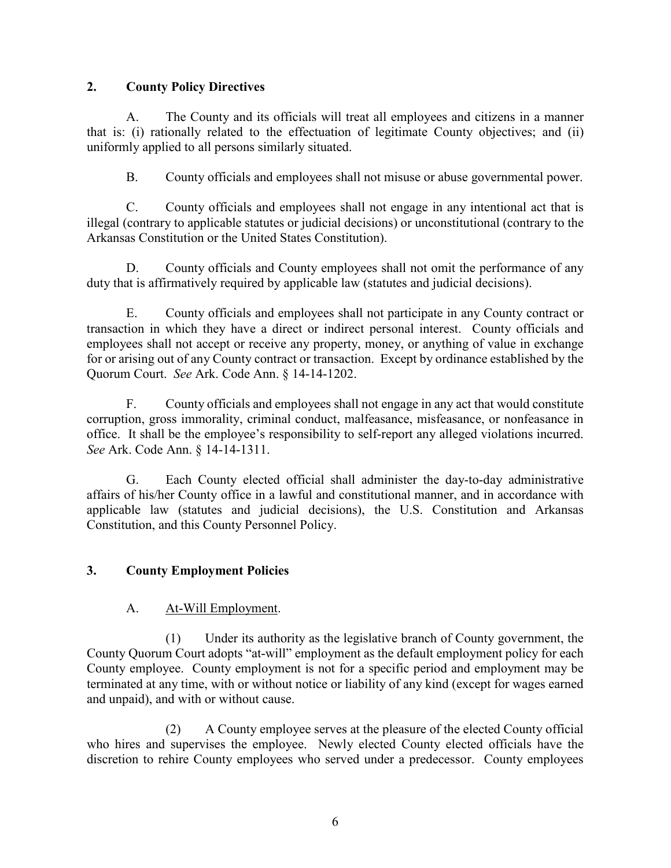## **2. County Policy Directives**

A. The County and its officials will treat all employees and citizens in a manner that is: (i) rationally related to the effectuation of legitimate County objectives; and (ii) uniformly applied to all persons similarly situated.

B. County officials and employees shall not misuse or abuse governmental power.

C. County officials and employees shall not engage in any intentional act that is illegal (contrary to applicable statutes or judicial decisions) or unconstitutional (contrary to the Arkansas Constitution or the United States Constitution).

D. County officials and County employees shall not omit the performance of any duty that is affirmatively required by applicable law (statutes and judicial decisions).

E. County officials and employees shall not participate in any County contract or transaction in which they have a direct or indirect personal interest. County officials and employees shall not accept or receive any property, money, or anything of value in exchange for or arising out of any County contract or transaction. Except by ordinance established by the Quorum Court. *See* Ark. Code Ann. § 14-14-1202.

F. County officials and employees shall not engage in any act that would constitute corruption, gross immorality, criminal conduct, malfeasance, misfeasance, or nonfeasance in office. It shall be the employee's responsibility to self-report any alleged violations incurred. *See* Ark. Code Ann. § 14-14-1311.

G. Each County elected official shall administer the day-to-day administrative affairs of his/her County office in a lawful and constitutional manner, and in accordance with applicable law (statutes and judicial decisions), the U.S. Constitution and Arkansas Constitution, and this County Personnel Policy.

# **3. County Employment Policies**

## A. At-Will Employment.

(1) Under its authority as the legislative branch of County government, the County Quorum Court adopts "at-will" employment as the default employment policy for each County employee. County employment is not for a specific period and employment may be terminated at any time, with or without notice or liability of any kind (except for wages earned and unpaid), and with or without cause.

(2) A County employee serves at the pleasure of the elected County official who hires and supervises the employee. Newly elected County elected officials have the discretion to rehire County employees who served under a predecessor. County employees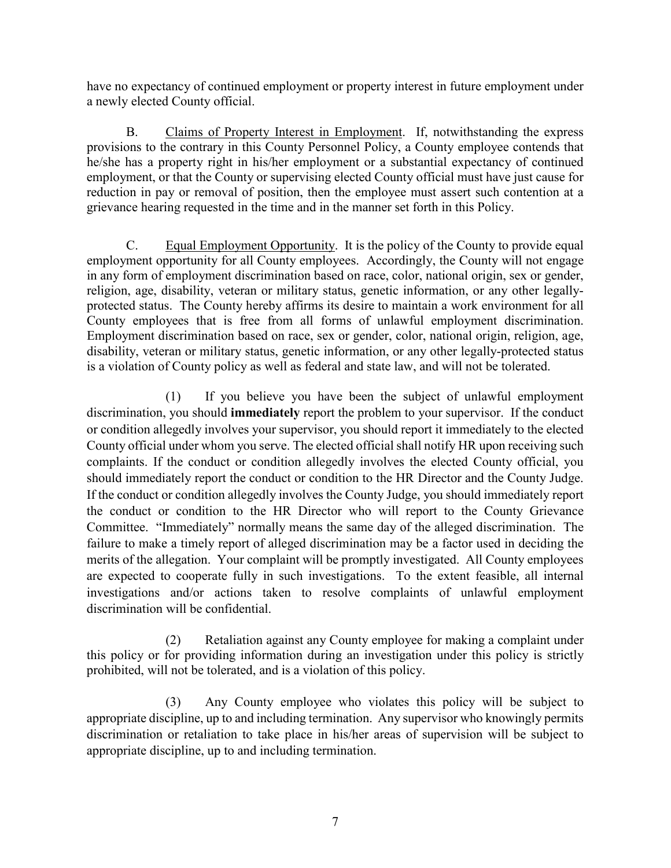have no expectancy of continued employment or property interest in future employment under a newly elected County official.

B. Claims of Property Interest in Employment. If, notwithstanding the express provisions to the contrary in this County Personnel Policy, a County employee contends that he/she has a property right in his/her employment or a substantial expectancy of continued employment, or that the County or supervising elected County official must have just cause for reduction in pay or removal of position, then the employee must assert such contention at a grievance hearing requested in the time and in the manner set forth in this Policy.

C. Equal Employment Opportunity. It is the policy of the County to provide equal employment opportunity for all County employees. Accordingly, the County will not engage in any form of employment discrimination based on race, color, national origin, sex or gender, religion, age, disability, veteran or military status, genetic information, or any other legallyprotected status. The County hereby affirms its desire to maintain a work environment for all County employees that is free from all forms of unlawful employment discrimination. Employment discrimination based on race, sex or gender, color, national origin, religion, age, disability, veteran or military status, genetic information, or any other legally-protected status is a violation of County policy as well as federal and state law, and will not be tolerated.

(1) If you believe you have been the subject of unlawful employment discrimination, you should **immediately** report the problem to your supervisor. If the conduct or condition allegedly involves your supervisor, you should report it immediately to the elected County official under whom you serve. The elected official shall notify HR upon receiving such complaints. If the conduct or condition allegedly involves the elected County official, you should immediately report the conduct or condition to the HR Director and the County Judge. If the conduct or condition allegedly involves the County Judge, you should immediately report the conduct or condition to the HR Director who will report to the County Grievance Committee. "Immediately" normally means the same day of the alleged discrimination. The failure to make a timely report of alleged discrimination may be a factor used in deciding the merits of the allegation. Your complaint will be promptly investigated. All County employees are expected to cooperate fully in such investigations. To the extent feasible, all internal investigations and/or actions taken to resolve complaints of unlawful employment discrimination will be confidential.

(2) Retaliation against any County employee for making a complaint under this policy or for providing information during an investigation under this policy is strictly prohibited, will not be tolerated, and is a violation of this policy.

(3) Any County employee who violates this policy will be subject to appropriate discipline, up to and including termination. Any supervisor who knowingly permits discrimination or retaliation to take place in his/her areas of supervision will be subject to appropriate discipline, up to and including termination.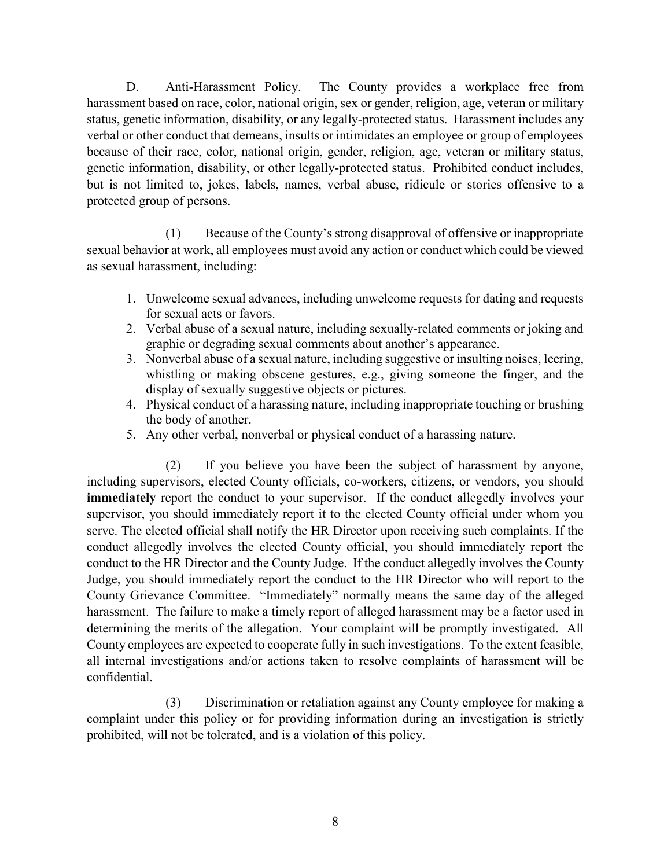D. Anti-Harassment Policy. The County provides a workplace free from harassment based on race, color, national origin, sex or gender, religion, age, veteran or military status, genetic information, disability, or any legally-protected status. Harassment includes any verbal or other conduct that demeans, insults or intimidates an employee or group of employees because of their race, color, national origin, gender, religion, age, veteran or military status, genetic information, disability, or other legally-protected status. Prohibited conduct includes, but is not limited to, jokes, labels, names, verbal abuse, ridicule or stories offensive to a protected group of persons.

(1) Because of the County's strong disapproval of offensive or inappropriate sexual behavior at work, all employees must avoid any action or conduct which could be viewed as sexual harassment, including:

- 1. Unwelcome sexual advances, including unwelcome requests for dating and requests for sexual acts or favors.
- 2. Verbal abuse of a sexual nature, including sexually-related comments or joking and graphic or degrading sexual comments about another's appearance.
- 3. Nonverbal abuse of a sexual nature, including suggestive or insulting noises, leering, whistling or making obscene gestures, e.g., giving someone the finger, and the display of sexually suggestive objects or pictures.
- 4. Physical conduct of a harassing nature, including inappropriate touching or brushing the body of another.
- 5. Any other verbal, nonverbal or physical conduct of a harassing nature.

(2) If you believe you have been the subject of harassment by anyone, including supervisors, elected County officials, co-workers, citizens, or vendors, you should **immediately** report the conduct to your supervisor. If the conduct allegedly involves your supervisor, you should immediately report it to the elected County official under whom you serve. The elected official shall notify the HR Director upon receiving such complaints. If the conduct allegedly involves the elected County official, you should immediately report the conduct to the HR Director and the County Judge. If the conduct allegedly involves the County Judge, you should immediately report the conduct to the HR Director who will report to the County Grievance Committee. "Immediately" normally means the same day of the alleged harassment. The failure to make a timely report of alleged harassment may be a factor used in determining the merits of the allegation. Your complaint will be promptly investigated. All County employees are expected to cooperate fully in such investigations. To the extent feasible, all internal investigations and/or actions taken to resolve complaints of harassment will be confidential.

(3) Discrimination or retaliation against any County employee for making a complaint under this policy or for providing information during an investigation is strictly prohibited, will not be tolerated, and is a violation of this policy.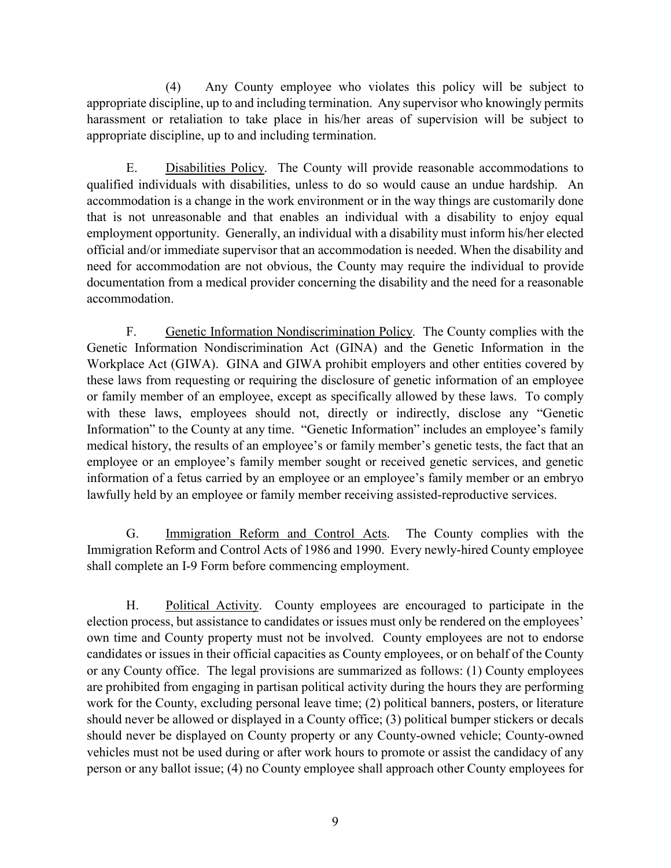(4) Any County employee who violates this policy will be subject to appropriate discipline, up to and including termination. Any supervisor who knowingly permits harassment or retaliation to take place in his/her areas of supervision will be subject to appropriate discipline, up to and including termination.

E. Disabilities Policy. The County will provide reasonable accommodations to qualified individuals with disabilities, unless to do so would cause an undue hardship. An accommodation is a change in the work environment or in the way things are customarily done that is not unreasonable and that enables an individual with a disability to enjoy equal employment opportunity. Generally, an individual with a disability must inform his/her elected official and/or immediate supervisor that an accommodation is needed. When the disability and need for accommodation are not obvious, the County may require the individual to provide documentation from a medical provider concerning the disability and the need for a reasonable accommodation.

F. Genetic Information Nondiscrimination Policy. The County complies with the Genetic Information Nondiscrimination Act (GINA) and the Genetic Information in the Workplace Act (GIWA). GINA and GIWA prohibit employers and other entities covered by these laws from requesting or requiring the disclosure of genetic information of an employee or family member of an employee, except as specifically allowed by these laws. To comply with these laws, employees should not, directly or indirectly, disclose any "Genetic Information" to the County at any time. "Genetic Information" includes an employee's family medical history, the results of an employee's or family member's genetic tests, the fact that an employee or an employee's family member sought or received genetic services, and genetic information of a fetus carried by an employee or an employee's family member or an embryo lawfully held by an employee or family member receiving assisted-reproductive services.

G. Immigration Reform and Control Acts. The County complies with the Immigration Reform and Control Acts of 1986 and 1990. Every newly-hired County employee shall complete an I-9 Form before commencing employment.

H. Political Activity. County employees are encouraged to participate in the election process, but assistance to candidates or issues must only be rendered on the employees' own time and County property must not be involved. County employees are not to endorse candidates or issues in their official capacities as County employees, or on behalf of the County or any County office. The legal provisions are summarized as follows: (1) County employees are prohibited from engaging in partisan political activity during the hours they are performing work for the County, excluding personal leave time; (2) political banners, posters, or literature should never be allowed or displayed in a County office; (3) political bumper stickers or decals should never be displayed on County property or any County-owned vehicle; County-owned vehicles must not be used during or after work hours to promote or assist the candidacy of any person or any ballot issue; (4) no County employee shall approach other County employees for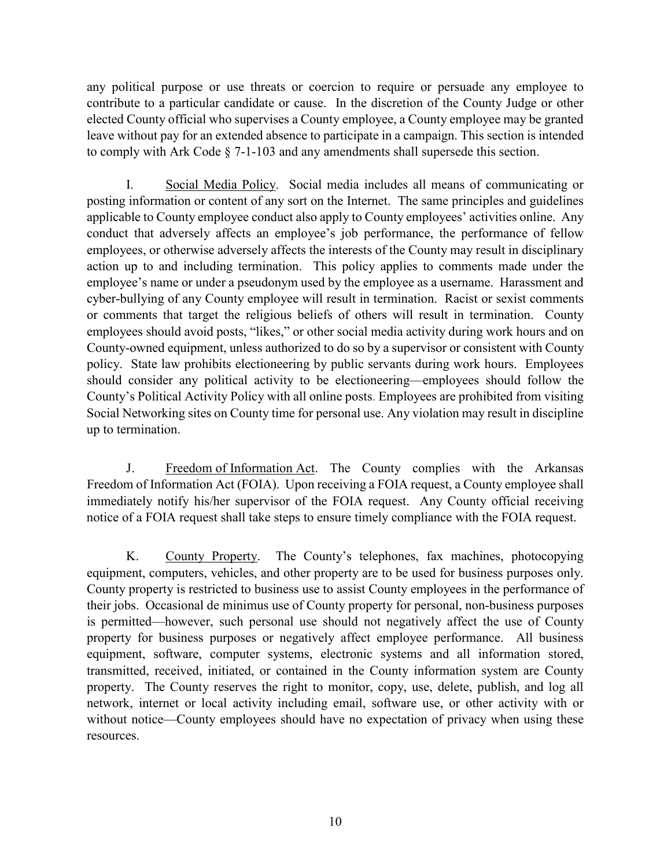any political purpose or use threats or coercion to require or persuade any employee to contribute to a particular candidate or cause. In the discretion of the County Judge or other elected County official who supervises a County employee, a County employee may be granted leave without pay for an extended absence to participate in a campaign. This section is intended to comply with Ark Code § 7-1-103 and any amendments shall supersede this section.

I. Social Media Policy. Social media includes all means of communicating or posting information or content of any sort on the Internet. The same principles and guidelines applicable to County employee conduct also apply to County employees' activities online. Any conduct that adversely affects an employee's job performance, the performance of fellow employees, or otherwise adversely affects the interests of the County may result in disciplinary action up to and including termination. This policy applies to comments made under the employee's name or under a pseudonym used by the employee as a username. Harassment and cyber-bullying of any County employee will result in termination. Racist or sexist comments or comments that target the religious beliefs of others will result in termination. County employees should avoid posts, "likes," or other social media activity during work hours and on County-owned equipment, unless authorized to do so by a supervisor or consistent with County policy. State law prohibits electioneering by public servants during work hours. Employees should consider any political activity to be electioneering—employees should follow the County's Political Activity Policy with all online posts. Employees are prohibited from visiting Social Networking sites on County time for personal use. Any violation may result in discipline up to termination.

J. Freedom of Information Act. The County complies with the Arkansas Freedom of Information Act (FOIA). Upon receiving a FOIA request, a County employee shall immediately notify his/her supervisor of the FOIA request. Any County official receiving notice of a FOIA request shall take steps to ensure timely compliance with the FOIA request.

K. County Property. The County's telephones, fax machines, photocopying equipment, computers, vehicles, and other property are to be used for business purposes only. County property is restricted to business use to assist County employees in the performance of their jobs. Occasional de minimus use of County property for personal, non-business purposes is permitted—however, such personal use should not negatively affect the use of County property for business purposes or negatively affect employee performance. All business equipment, software, computer systems, electronic systems and all information stored, transmitted, received, initiated, or contained in the County information system are County property. The County reserves the right to monitor, copy, use, delete, publish, and log all network, internet or local activity including email, software use, or other activity with or without notice—County employees should have no expectation of privacy when using these resources.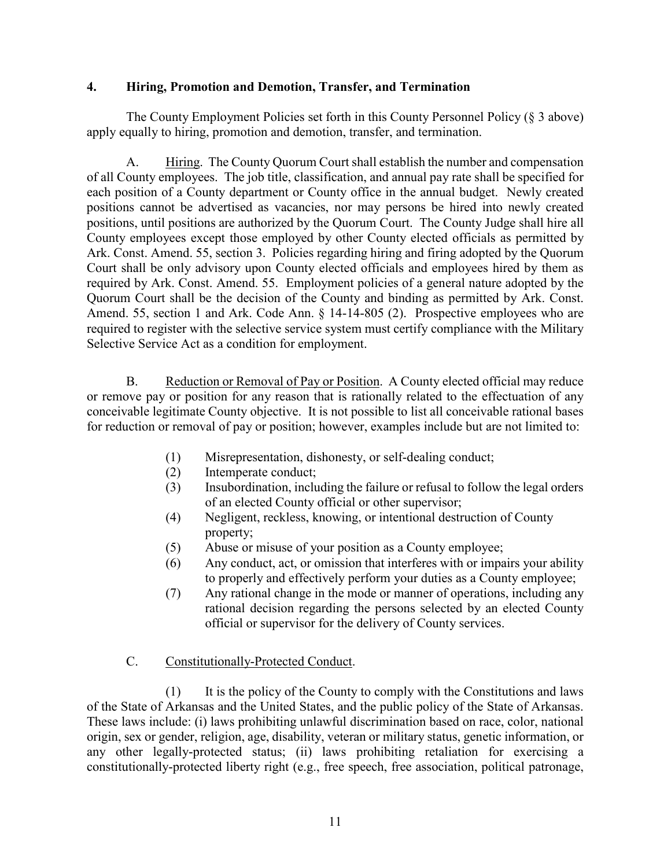#### **4. Hiring, Promotion and Demotion, Transfer, and Termination**

The County Employment Policies set forth in this County Personnel Policy (§ 3 above) apply equally to hiring, promotion and demotion, transfer, and termination.

A. Hiring. The County Quorum Court shall establish the number and compensation of all County employees. The job title, classification, and annual pay rate shall be specified for each position of a County department or County office in the annual budget. Newly created positions cannot be advertised as vacancies, nor may persons be hired into newly created positions, until positions are authorized by the Quorum Court. The County Judge shall hire all County employees except those employed by other County elected officials as permitted by Ark. Const. Amend. 55, section 3. Policies regarding hiring and firing adopted by the Quorum Court shall be only advisory upon County elected officials and employees hired by them as required by Ark. Const. Amend. 55. Employment policies of a general nature adopted by the Quorum Court shall be the decision of the County and binding as permitted by Ark. Const. Amend. 55, section 1 and Ark. Code Ann. § 14-14-805 (2). Prospective employees who are required to register with the selective service system must certify compliance with the Military Selective Service Act as a condition for employment.

B. Reduction or Removal of Pay or Position. A County elected official may reduce or remove pay or position for any reason that is rationally related to the effectuation of any conceivable legitimate County objective. It is not possible to list all conceivable rational bases for reduction or removal of pay or position; however, examples include but are not limited to:

- (1) Misrepresentation, dishonesty, or self-dealing conduct;
- (2) Intemperate conduct;
- (3) Insubordination, including the failure or refusal to follow the legal orders of an elected County official or other supervisor;
- (4) Negligent, reckless, knowing, or intentional destruction of County property;
- (5) Abuse or misuse of your position as a County employee;
- (6) Any conduct, act, or omission that interferes with or impairs your ability to properly and effectively perform your duties as a County employee;
- (7) Any rational change in the mode or manner of operations, including any rational decision regarding the persons selected by an elected County official or supervisor for the delivery of County services.

## C. Constitutionally-Protected Conduct.

(1) It is the policy of the County to comply with the Constitutions and laws of the State of Arkansas and the United States, and the public policy of the State of Arkansas. These laws include: (i) laws prohibiting unlawful discrimination based on race, color, national origin, sex or gender, religion, age, disability, veteran or military status, genetic information, or any other legally-protected status; (ii) laws prohibiting retaliation for exercising a constitutionally-protected liberty right (e.g., free speech, free association, political patronage,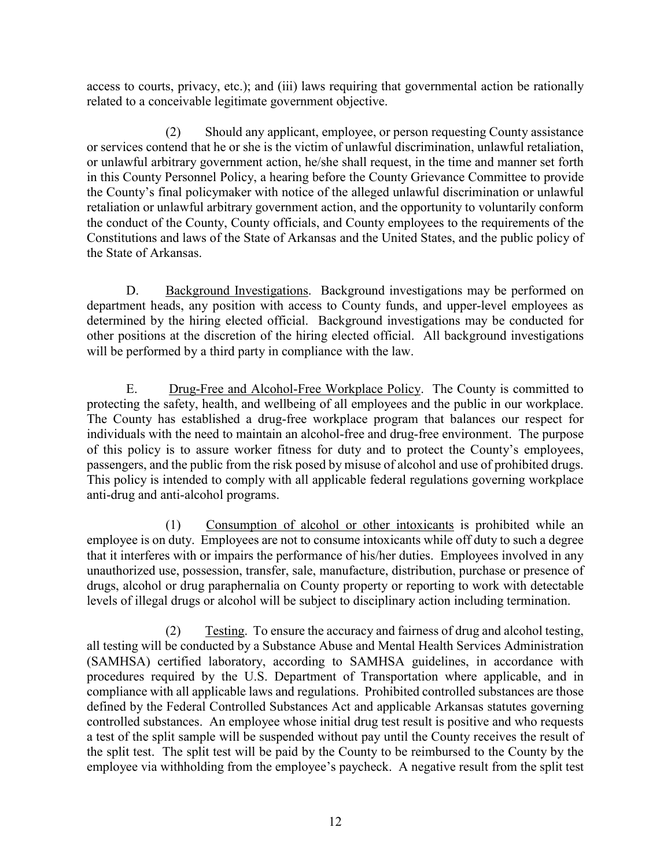access to courts, privacy, etc.); and (iii) laws requiring that governmental action be rationally related to a conceivable legitimate government objective.

(2) Should any applicant, employee, or person requesting County assistance or services contend that he or she is the victim of unlawful discrimination, unlawful retaliation, or unlawful arbitrary government action, he/she shall request, in the time and manner set forth in this County Personnel Policy, a hearing before the County Grievance Committee to provide the County's final policymaker with notice of the alleged unlawful discrimination or unlawful retaliation or unlawful arbitrary government action, and the opportunity to voluntarily conform the conduct of the County, County officials, and County employees to the requirements of the Constitutions and laws of the State of Arkansas and the United States, and the public policy of the State of Arkansas.

D. Background Investigations. Background investigations may be performed on department heads, any position with access to County funds, and upper-level employees as determined by the hiring elected official. Background investigations may be conducted for other positions at the discretion of the hiring elected official. All background investigations will be performed by a third party in compliance with the law.

E. Drug-Free and Alcohol-Free Workplace Policy. The County is committed to protecting the safety, health, and wellbeing of all employees and the public in our workplace. The County has established a drug-free workplace program that balances our respect for individuals with the need to maintain an alcohol-free and drug-free environment. The purpose of this policy is to assure worker fitness for duty and to protect the County's employees, passengers, and the public from the risk posed by misuse of alcohol and use of prohibited drugs. This policy is intended to comply with all applicable federal regulations governing workplace anti-drug and anti-alcohol programs.

(1) Consumption of alcohol or other intoxicants is prohibited while an employee is on duty. Employees are not to consume intoxicants while off duty to such a degree that it interferes with or impairs the performance of his/her duties. Employees involved in any unauthorized use, possession, transfer, sale, manufacture, distribution, purchase or presence of drugs, alcohol or drug paraphernalia on County property or reporting to work with detectable levels of illegal drugs or alcohol will be subject to disciplinary action including termination.

(2) Testing. To ensure the accuracy and fairness of drug and alcohol testing, all testing will be conducted by a Substance Abuse and Mental Health Services Administration (SAMHSA) certified laboratory, according to SAMHSA guidelines, in accordance with procedures required by the U.S. Department of Transportation where applicable, and in compliance with all applicable laws and regulations. Prohibited controlled substances are those defined by the Federal Controlled Substances Act and applicable Arkansas statutes governing controlled substances. An employee whose initial drug test result is positive and who requests a test of the split sample will be suspended without pay until the County receives the result of the split test. The split test will be paid by the County to be reimbursed to the County by the employee via withholding from the employee's paycheck. A negative result from the split test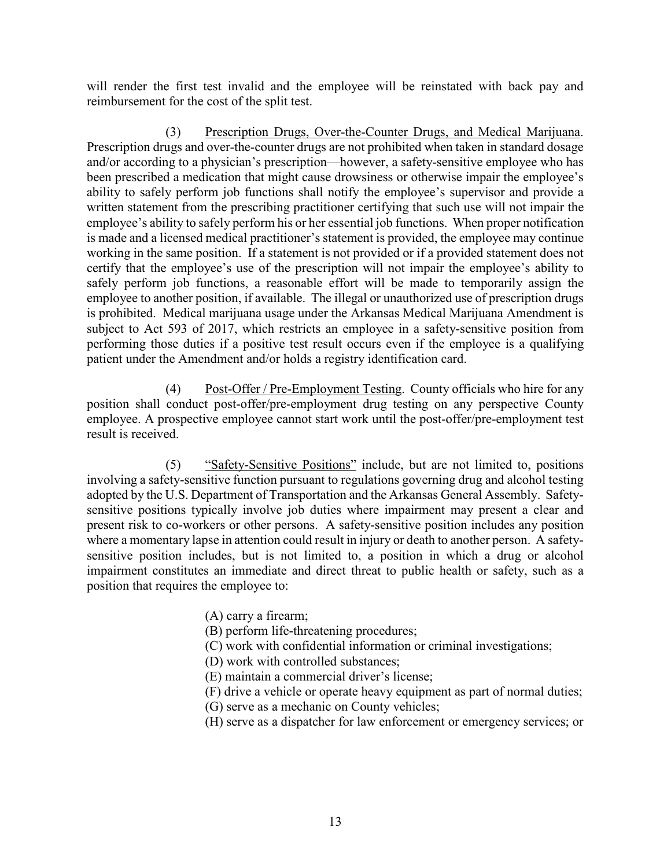will render the first test invalid and the employee will be reinstated with back pay and reimbursement for the cost of the split test.

(3) Prescription Drugs, Over-the-Counter Drugs, and Medical Marijuana. Prescription drugs and over-the-counter drugs are not prohibited when taken in standard dosage and/or according to a physician's prescription—however, a safety-sensitive employee who has been prescribed a medication that might cause drowsiness or otherwise impair the employee's ability to safely perform job functions shall notify the employee's supervisor and provide a written statement from the prescribing practitioner certifying that such use will not impair the employee's ability to safely perform his or her essential job functions. When proper notification is made and a licensed medical practitioner's statement is provided, the employee may continue working in the same position. If a statement is not provided or if a provided statement does not certify that the employee's use of the prescription will not impair the employee's ability to safely perform job functions, a reasonable effort will be made to temporarily assign the employee to another position, if available. The illegal or unauthorized use of prescription drugs is prohibited. Medical marijuana usage under the Arkansas Medical Marijuana Amendment is subject to Act 593 of 2017, which restricts an employee in a safety-sensitive position from performing those duties if a positive test result occurs even if the employee is a qualifying patient under the Amendment and/or holds a registry identification card.

(4) Post-Offer / Pre-Employment Testing. County officials who hire for any position shall conduct post-offer/pre-employment drug testing on any perspective County employee. A prospective employee cannot start work until the post-offer/pre-employment test result is received.

(5) "Safety-Sensitive Positions" include, but are not limited to, positions involving a safety-sensitive function pursuant to regulations governing drug and alcohol testing adopted by the U.S. Department of Transportation and the Arkansas General Assembly. Safetysensitive positions typically involve job duties where impairment may present a clear and present risk to co-workers or other persons. A safety-sensitive position includes any position where a momentary lapse in attention could result in injury or death to another person. A safetysensitive position includes, but is not limited to, a position in which a drug or alcohol impairment constitutes an immediate and direct threat to public health or safety, such as a position that requires the employee to:

- (A) carry a firearm;
- (B) perform life-threatening procedures;
- (C) work with confidential information or criminal investigations;
- (D) work with controlled substances;
- (E) maintain a commercial driver's license;
- (F) drive a vehicle or operate heavy equipment as part of normal duties;
- (G) serve as a mechanic on County vehicles;
- (H) serve as a dispatcher for law enforcement or emergency services; or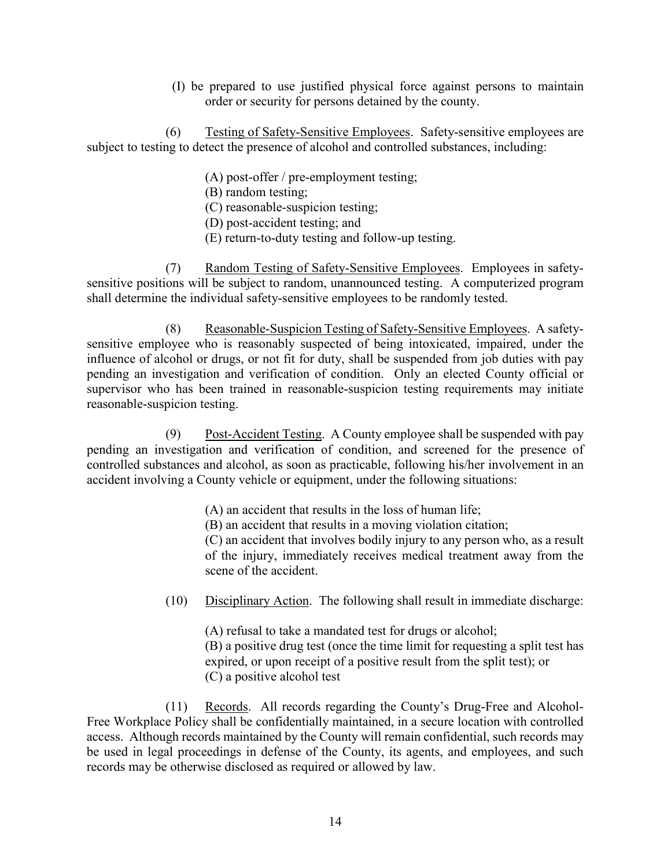(I) be prepared to use justified physical force against persons to maintain order or security for persons detained by the county.

(6) Testing of Safety-Sensitive Employees. Safety-sensitive employees are subject to testing to detect the presence of alcohol and controlled substances, including:

- (A) post-offer / pre-employment testing;
- (B) random testing;
- (C) reasonable-suspicion testing;
- (D) post-accident testing; and
- (E) return-to-duty testing and follow-up testing.

(7) Random Testing of Safety-Sensitive Employees. Employees in safetysensitive positions will be subject to random, unannounced testing. A computerized program shall determine the individual safety-sensitive employees to be randomly tested.

(8) Reasonable-Suspicion Testing of Safety-Sensitive Employees. A safetysensitive employee who is reasonably suspected of being intoxicated, impaired, under the influence of alcohol or drugs, or not fit for duty, shall be suspended from job duties with pay pending an investigation and verification of condition. Only an elected County official or supervisor who has been trained in reasonable-suspicion testing requirements may initiate reasonable-suspicion testing.

(9) Post-Accident Testing. A County employee shall be suspended with pay pending an investigation and verification of condition, and screened for the presence of controlled substances and alcohol, as soon as practicable, following his/her involvement in an accident involving a County vehicle or equipment, under the following situations:

- (A) an accident that results in the loss of human life;
- (B) an accident that results in a moving violation citation;

 (C) an accident that involves bodily injury to any person who, as a result of the injury, immediately receives medical treatment away from the scene of the accident.

(10) Disciplinary Action. The following shall result in immediate discharge:

(A) refusal to take a mandated test for drugs or alcohol; (B) a positive drug test (once the time limit for requesting a split test has expired, or upon receipt of a positive result from the split test); or (C) a positive alcohol test

(11) Records. All records regarding the County's Drug-Free and Alcohol-Free Workplace Policy shall be confidentially maintained, in a secure location with controlled access. Although records maintained by the County will remain confidential, such records may be used in legal proceedings in defense of the County, its agents, and employees, and such records may be otherwise disclosed as required or allowed by law.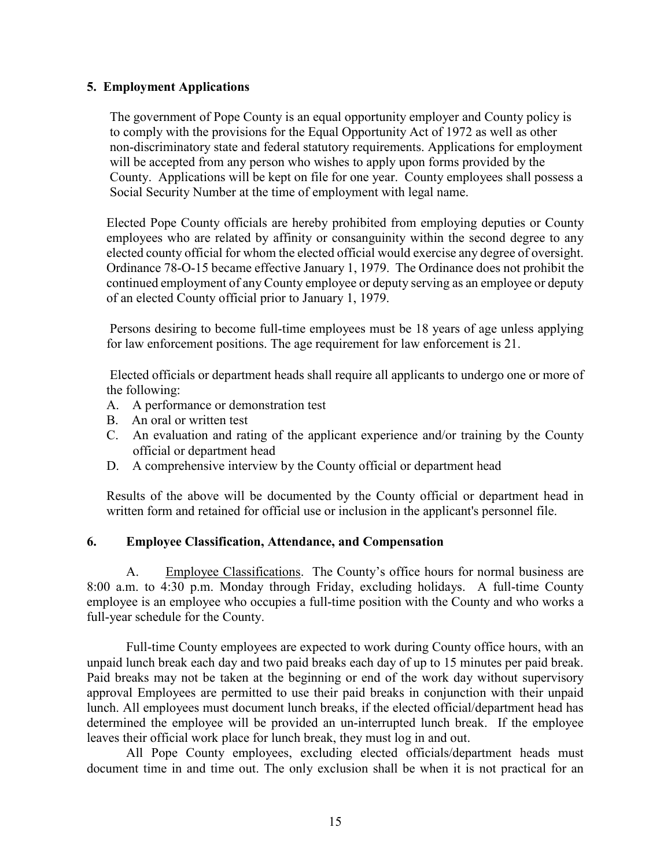#### **5. Employment Applications**

The government of Pope County is an equal opportunity employer and County policy is to comply with the provisions for the Equal Opportunity Act of 1972 as well as other non-discriminatory state and federal statutory requirements. Applications for employment will be accepted from any person who wishes to apply upon forms provided by the County. Applications will be kept on file for one year. County employees shall possess a Social Security Number at the time of employment with legal name.

Elected Pope County officials are hereby prohibited from employing deputies or County employees who are related by affinity or consanguinity within the second degree to any elected county official for whom the elected official would exercise any degree of oversight. Ordinance 78-O-15 became effective January 1, 1979. The Ordinance does not prohibit the continued employment of any County employee or deputy serving as an employee or deputy of an elected County official prior to January 1, 1979.

Persons desiring to become full-time employees must be 18 years of age unless applying for law enforcement positions. The age requirement for law enforcement is 21.

Elected officials or department heads shall require all applicants to undergo one or more of the following:

- A. A performance or demonstration test
- B. An oral or written test
- C. An evaluation and rating of the applicant experience and/or training by the County official or department head
- D. A comprehensive interview by the County official or department head

Results of the above will be documented by the County official or department head in written form and retained for official use or inclusion in the applicant's personnel file.

#### **6. Employee Classification, Attendance, and Compensation**

A. Employee Classifications. The County's office hours for normal business are 8:00 a.m. to 4:30 p.m. Monday through Friday, excluding holidays. A full-time County employee is an employee who occupies a full-time position with the County and who works a full-year schedule for the County.

Full-time County employees are expected to work during County office hours, with an unpaid lunch break each day and two paid breaks each day of up to 15 minutes per paid break. Paid breaks may not be taken at the beginning or end of the work day without supervisory approval Employees are permitted to use their paid breaks in conjunction with their unpaid lunch. All employees must document lunch breaks, if the elected official/department head has determined the employee will be provided an un-interrupted lunch break. If the employee leaves their official work place for lunch break, they must log in and out.

All Pope County employees, excluding elected officials/department heads must document time in and time out. The only exclusion shall be when it is not practical for an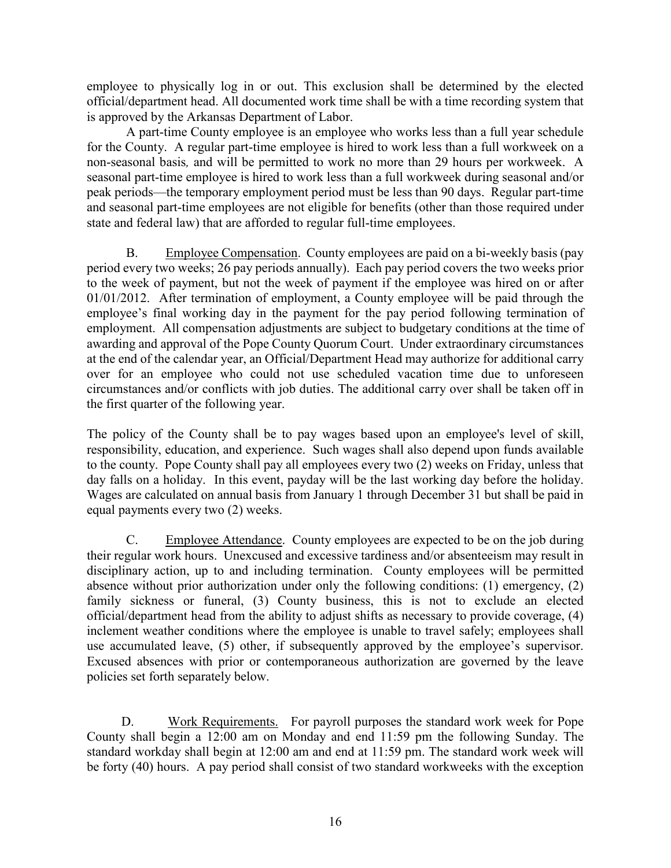employee to physically log in or out. This exclusion shall be determined by the elected official/department head. All documented work time shall be with a time recording system that is approved by the Arkansas Department of Labor.

A part-time County employee is an employee who works less than a full year schedule for the County. A regular part-time employee is hired to work less than a full workweek on a non-seasonal basis*,* and will be permitted to work no more than 29 hours per workweek. A seasonal part-time employee is hired to work less than a full workweek during seasonal and/or peak periods—the temporary employment period must be less than 90 days. Regular part-time and seasonal part-time employees are not eligible for benefits (other than those required under state and federal law) that are afforded to regular full-time employees.

B. Employee Compensation. County employees are paid on a bi-weekly basis (pay period every two weeks; 26 pay periods annually). Each pay period covers the two weeks prior to the week of payment, but not the week of payment if the employee was hired on or after 01/01/2012. After termination of employment, a County employee will be paid through the employee's final working day in the payment for the pay period following termination of employment. All compensation adjustments are subject to budgetary conditions at the time of awarding and approval of the Pope County Quorum Court. Under extraordinary circumstances at the end of the calendar year, an Official/Department Head may authorize for additional carry over for an employee who could not use scheduled vacation time due to unforeseen circumstances and/or conflicts with job duties. The additional carry over shall be taken off in the first quarter of the following year.

The policy of the County shall be to pay wages based upon an employee's level of skill, responsibility, education, and experience. Such wages shall also depend upon funds available to the county. Pope County shall pay all employees every two (2) weeks on Friday, unless that day falls on a holiday. In this event, payday will be the last working day before the holiday. Wages are calculated on annual basis from January 1 through December 31 but shall be paid in equal payments every two (2) weeks.

C. Employee Attendance. County employees are expected to be on the job during their regular work hours. Unexcused and excessive tardiness and/or absenteeism may result in disciplinary action, up to and including termination. County employees will be permitted absence without prior authorization under only the following conditions: (1) emergency, (2) family sickness or funeral, (3) County business, this is not to exclude an elected official/department head from the ability to adjust shifts as necessary to provide coverage, (4) inclement weather conditions where the employee is unable to travel safely; employees shall use accumulated leave, (5) other, if subsequently approved by the employee's supervisor. Excused absences with prior or contemporaneous authorization are governed by the leave policies set forth separately below.

D. Work Requirements. For payroll purposes the standard work week for Pope County shall begin a 12:00 am on Monday and end 11:59 pm the following Sunday. The standard workday shall begin at 12:00 am and end at 11:59 pm. The standard work week will be forty (40) hours. A pay period shall consist of two standard workweeks with the exception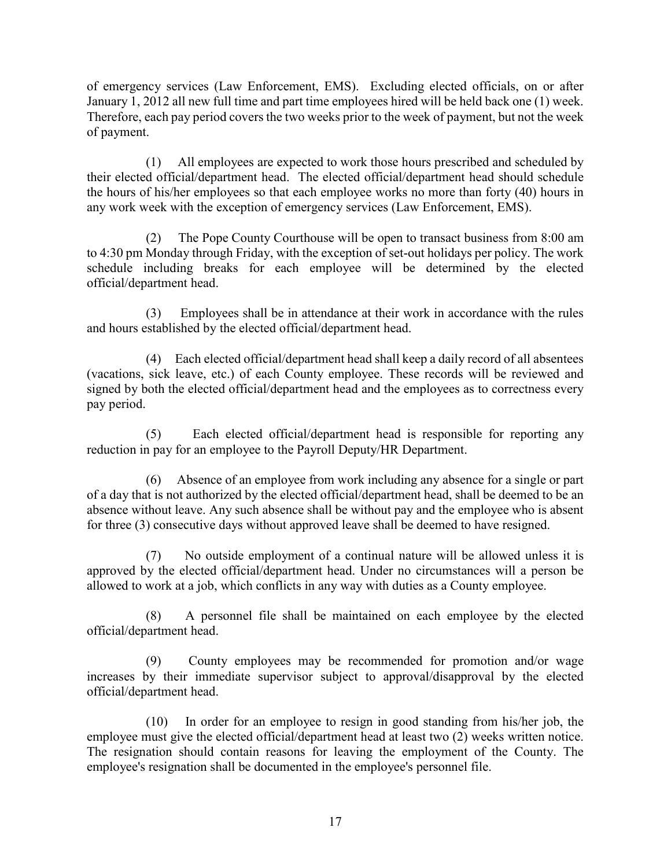of emergency services (Law Enforcement, EMS). Excluding elected officials, on or after January 1, 2012 all new full time and part time employees hired will be held back one (1) week. Therefore, each pay period covers the two weeks prior to the week of payment, but not the week of payment.

 (1) All employees are expected to work those hours prescribed and scheduled by their elected official/department head. The elected official/department head should schedule the hours of his/her employees so that each employee works no more than forty (40) hours in any work week with the exception of emergency services (Law Enforcement, EMS).

 (2) The Pope County Courthouse will be open to transact business from 8:00 am to 4:30 pm Monday through Friday, with the exception of set-out holidays per policy. The work schedule including breaks for each employee will be determined by the elected official/department head.

 (3) Employees shall be in attendance at their work in accordance with the rules and hours established by the elected official/department head.

 (4) Each elected official/department head shall keep a daily record of all absentees (vacations, sick leave, etc.) of each County employee. These records will be reviewed and signed by both the elected official/department head and the employees as to correctness every pay period.

 (5) Each elected official/department head is responsible for reporting any reduction in pay for an employee to the Payroll Deputy/HR Department.

 (6) Absence of an employee from work including any absence for a single or part of a day that is not authorized by the elected official/department head, shall be deemed to be an absence without leave. Any such absence shall be without pay and the employee who is absent for three (3) consecutive days without approved leave shall be deemed to have resigned.

 (7) No outside employment of a continual nature will be allowed unless it is approved by the elected official/department head. Under no circumstances will a person be allowed to work at a job, which conflicts in any way with duties as a County employee.

 (8) A personnel file shall be maintained on each employee by the elected official/department head.

 (9) County employees may be recommended for promotion and/or wage increases by their immediate supervisor subject to approval/disapproval by the elected official/department head.

 (10) In order for an employee to resign in good standing from his/her job, the employee must give the elected official/department head at least two (2) weeks written notice. The resignation should contain reasons for leaving the employment of the County. The employee's resignation shall be documented in the employee's personnel file.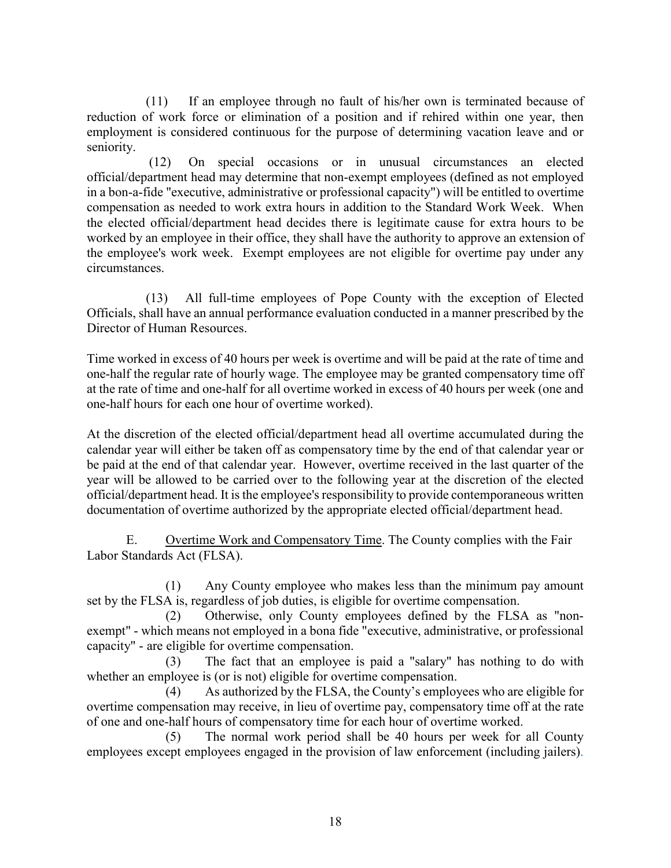(11) If an employee through no fault of his/her own is terminated because of reduction of work force or elimination of a position and if rehired within one year, then employment is considered continuous for the purpose of determining vacation leave and or seniority.

 (12) On special occasions or in unusual circumstances an elected official/department head may determine that non-exempt employees (defined as not employed in a bon-a-fide "executive, administrative or professional capacity") will be entitled to overtime compensation as needed to work extra hours in addition to the Standard Work Week. When the elected official/department head decides there is legitimate cause for extra hours to be worked by an employee in their office, they shall have the authority to approve an extension of the employee's work week. Exempt employees are not eligible for overtime pay under any circumstances.

(13) All full-time employees of Pope County with the exception of Elected Officials, shall have an annual performance evaluation conducted in a manner prescribed by the Director of Human Resources.

Time worked in excess of 40 hours per week is overtime and will be paid at the rate of time and one-half the regular rate of hourly wage. The employee may be granted compensatory time off at the rate of time and one-half for all overtime worked in excess of 40 hours per week (one and one-half hours for each one hour of overtime worked).

At the discretion of the elected official/department head all overtime accumulated during the calendar year will either be taken off as compensatory time by the end of that calendar year or be paid at the end of that calendar year. However, overtime received in the last quarter of the year will be allowed to be carried over to the following year at the discretion of the elected official/department head. It is the employee's responsibility to provide contemporaneous written documentation of overtime authorized by the appropriate elected official/department head.

E. Overtime Work and Compensatory Time. The County complies with the Fair Labor Standards Act (FLSA).

(1) Any County employee who makes less than the minimum pay amount set by the FLSA is, regardless of job duties, is eligible for overtime compensation.

(2) Otherwise, only County employees defined by the FLSA as "nonexempt" - which means not employed in a bona fide "executive, administrative, or professional capacity" - are eligible for overtime compensation.

(3) The fact that an employee is paid a "salary" has nothing to do with whether an employee is (or is not) eligible for overtime compensation.

(4) As authorized by the FLSA, the County's employees who are eligible for overtime compensation may receive, in lieu of overtime pay, compensatory time off at the rate of one and one-half hours of compensatory time for each hour of overtime worked.

(5) The normal work period shall be 40 hours per week for all County employees except employees engaged in the provision of law enforcement (including jailers).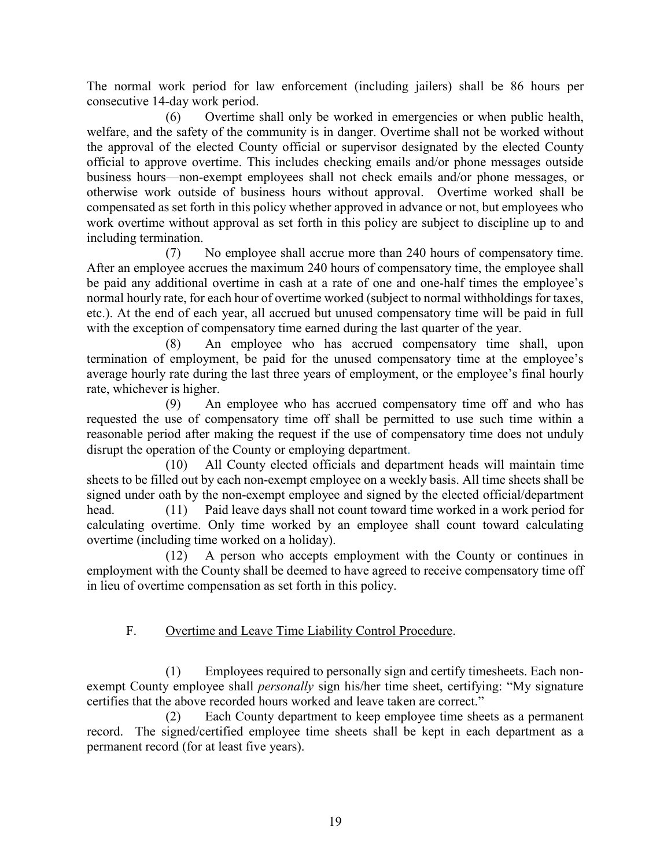The normal work period for law enforcement (including jailers) shall be 86 hours per consecutive 14-day work period.

(6) Overtime shall only be worked in emergencies or when public health, welfare, and the safety of the community is in danger. Overtime shall not be worked without the approval of the elected County official or supervisor designated by the elected County official to approve overtime. This includes checking emails and/or phone messages outside business hours—non-exempt employees shall not check emails and/or phone messages, or otherwise work outside of business hours without approval. Overtime worked shall be compensated as set forth in this policy whether approved in advance or not, but employees who work overtime without approval as set forth in this policy are subject to discipline up to and including termination.

(7) No employee shall accrue more than 240 hours of compensatory time. After an employee accrues the maximum 240 hours of compensatory time, the employee shall be paid any additional overtime in cash at a rate of one and one-half times the employee's normal hourly rate, for each hour of overtime worked (subject to normal withholdings for taxes, etc.). At the end of each year, all accrued but unused compensatory time will be paid in full with the exception of compensatory time earned during the last quarter of the year.

(8) An employee who has accrued compensatory time shall, upon termination of employment, be paid for the unused compensatory time at the employee's average hourly rate during the last three years of employment, or the employee's final hourly rate, whichever is higher.

(9) An employee who has accrued compensatory time off and who has requested the use of compensatory time off shall be permitted to use such time within a reasonable period after making the request if the use of compensatory time does not unduly disrupt the operation of the County or employing department.

(10) All County elected officials and department heads will maintain time sheets to be filled out by each non-exempt employee on a weekly basis. All time sheets shall be signed under oath by the non-exempt employee and signed by the elected official/department head. (11) Paid leave days shall not count toward time worked in a work period for calculating overtime. Only time worked by an employee shall count toward calculating overtime (including time worked on a holiday).

(12) A person who accepts employment with the County or continues in employment with the County shall be deemed to have agreed to receive compensatory time off in lieu of overtime compensation as set forth in this policy.

# F. Overtime and Leave Time Liability Control Procedure.

(1) Employees required to personally sign and certify timesheets. Each nonexempt County employee shall *personally* sign his/her time sheet, certifying: "My signature certifies that the above recorded hours worked and leave taken are correct."

(2) Each County department to keep employee time sheets as a permanent record. The signed/certified employee time sheets shall be kept in each department as a permanent record (for at least five years).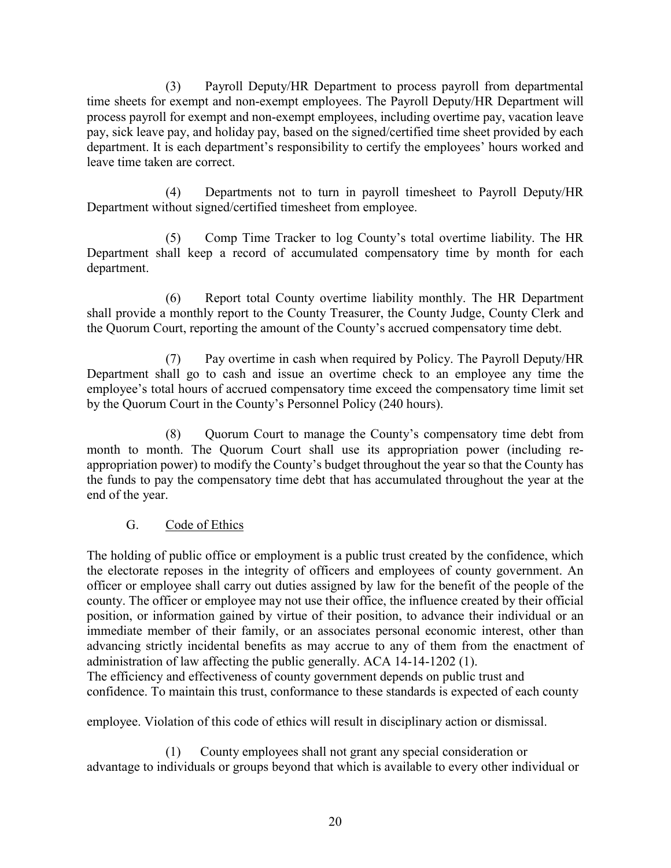(3) Payroll Deputy/HR Department to process payroll from departmental time sheets for exempt and non-exempt employees. The Payroll Deputy/HR Department will process payroll for exempt and non-exempt employees, including overtime pay, vacation leave pay, sick leave pay, and holiday pay, based on the signed/certified time sheet provided by each department. It is each department's responsibility to certify the employees' hours worked and leave time taken are correct.

(4) Departments not to turn in payroll timesheet to Payroll Deputy/HR Department without signed/certified timesheet from employee.

(5) Comp Time Tracker to log County's total overtime liability. The HR Department shall keep a record of accumulated compensatory time by month for each department.

(6) Report total County overtime liability monthly. The HR Department shall provide a monthly report to the County Treasurer, the County Judge, County Clerk and the Quorum Court, reporting the amount of the County's accrued compensatory time debt.

(7) Pay overtime in cash when required by Policy. The Payroll Deputy/HR Department shall go to cash and issue an overtime check to an employee any time the employee's total hours of accrued compensatory time exceed the compensatory time limit set by the Quorum Court in the County's Personnel Policy (240 hours).

(8) Quorum Court to manage the County's compensatory time debt from month to month. The Quorum Court shall use its appropriation power (including reappropriation power) to modify the County's budget throughout the year so that the County has the funds to pay the compensatory time debt that has accumulated throughout the year at the end of the year.

## G. Code of Ethics

The holding of public office or employment is a public trust created by the confidence, which the electorate reposes in the integrity of officers and employees of county government. An officer or employee shall carry out duties assigned by law for the benefit of the people of the county. The officer or employee may not use their office, the influence created by their official position, or information gained by virtue of their position, to advance their individual or an immediate member of their family, or an associates personal economic interest, other than advancing strictly incidental benefits as may accrue to any of them from the enactment of administration of law affecting the public generally. ACA 14-14-1202 (1).

The efficiency and effectiveness of county government depends on public trust and confidence. To maintain this trust, conformance to these standards is expected of each county

employee. Violation of this code of ethics will result in disciplinary action or dismissal.

(1) County employees shall not grant any special consideration or advantage to individuals or groups beyond that which is available to every other individual or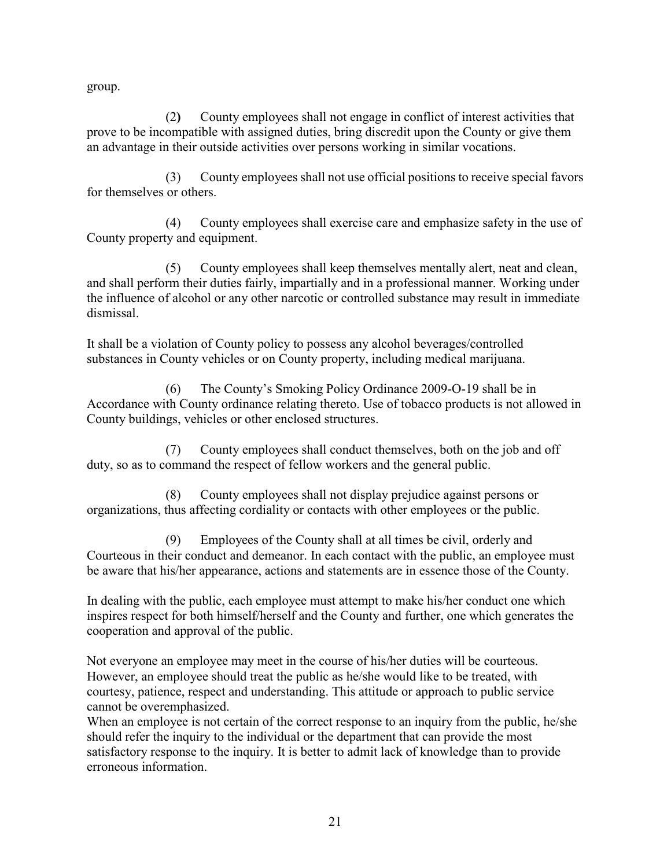group.

(2**)** County employees shall not engage in conflict of interest activities that prove to be incompatible with assigned duties, bring discredit upon the County or give them an advantage in their outside activities over persons working in similar vocations.

(3) County employees shall not use official positions to receive special favors for themselves or others.

(4) County employees shall exercise care and emphasize safety in the use of County property and equipment.

(5) County employees shall keep themselves mentally alert, neat and clean, and shall perform their duties fairly, impartially and in a professional manner. Working under the influence of alcohol or any other narcotic or controlled substance may result in immediate dismissal.

It shall be a violation of County policy to possess any alcohol beverages/controlled substances in County vehicles or on County property, including medical marijuana.

(6) The County's Smoking Policy Ordinance 2009-O-19 shall be in Accordance with County ordinance relating thereto. Use of tobacco products is not allowed in County buildings, vehicles or other enclosed structures.

(7) County employees shall conduct themselves, both on the job and off duty, so as to command the respect of fellow workers and the general public.

(8) County employees shall not display prejudice against persons or organizations, thus affecting cordiality or contacts with other employees or the public.

(9) Employees of the County shall at all times be civil, orderly and Courteous in their conduct and demeanor. In each contact with the public, an employee must be aware that his/her appearance, actions and statements are in essence those of the County.

In dealing with the public, each employee must attempt to make his/her conduct one which inspires respect for both himself/herself and the County and further, one which generates the cooperation and approval of the public.

Not everyone an employee may meet in the course of his/her duties will be courteous. However, an employee should treat the public as he/she would like to be treated, with courtesy, patience, respect and understanding. This attitude or approach to public service cannot be overemphasized.

When an employee is not certain of the correct response to an inquiry from the public, he/she should refer the inquiry to the individual or the department that can provide the most satisfactory response to the inquiry. It is better to admit lack of knowledge than to provide erroneous information.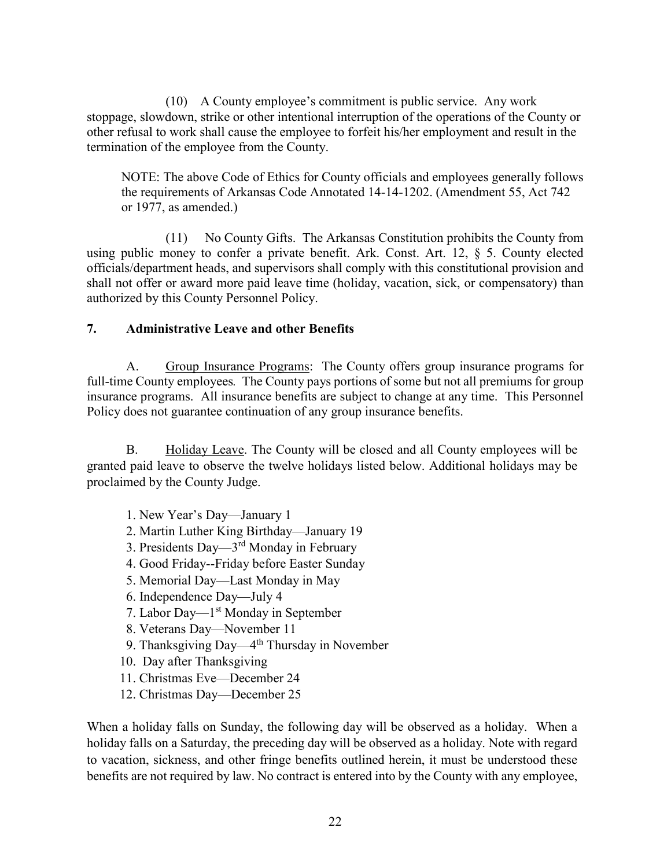(10) A County employee's commitment is public service. Any work stoppage, slowdown, strike or other intentional interruption of the operations of the County or other refusal to work shall cause the employee to forfeit his/her employment and result in the termination of the employee from the County.

NOTE: The above Code of Ethics for County officials and employees generally follows the requirements of Arkansas Code Annotated 14-14-1202. (Amendment 55, Act 742 or 1977, as amended.)

(11) No County Gifts. The Arkansas Constitution prohibits the County from using public money to confer a private benefit. Ark. Const. Art. 12, § 5. County elected officials/department heads, and supervisors shall comply with this constitutional provision and shall not offer or award more paid leave time (holiday, vacation, sick, or compensatory) than authorized by this County Personnel Policy.

## **7. Administrative Leave and other Benefits**

A. Group Insurance Programs: The County offers group insurance programs for full-time County employees*.* The County pays portions of some but not all premiums for group insurance programs. All insurance benefits are subject to change at any time. This Personnel Policy does not guarantee continuation of any group insurance benefits.

B. Holiday Leave. The County will be closed and all County employees will be granted paid leave to observe the twelve holidays listed below. Additional holidays may be proclaimed by the County Judge.

- 1. New Year's Day—January 1
- 2. Martin Luther King Birthday—January 19
- 3. Presidents Day—3rd Monday in February
- 4. Good Friday--Friday before Easter Sunday
- 5. Memorial Day—Last Monday in May
- 6. Independence Day—July 4
- 7. Labor Day—1<sup>st</sup> Monday in September
- 8. Veterans Day—November 11
- 9. Thanksgiving Day—4<sup>th</sup> Thursday in November
- 10. Day after Thanksgiving
- 11. Christmas Eve—December 24
- 12. Christmas Day—December 25

When a holiday falls on Sunday, the following day will be observed as a holiday. When a holiday falls on a Saturday, the preceding day will be observed as a holiday. Note with regard to vacation, sickness, and other fringe benefits outlined herein, it must be understood these benefits are not required by law. No contract is entered into by the County with any employee,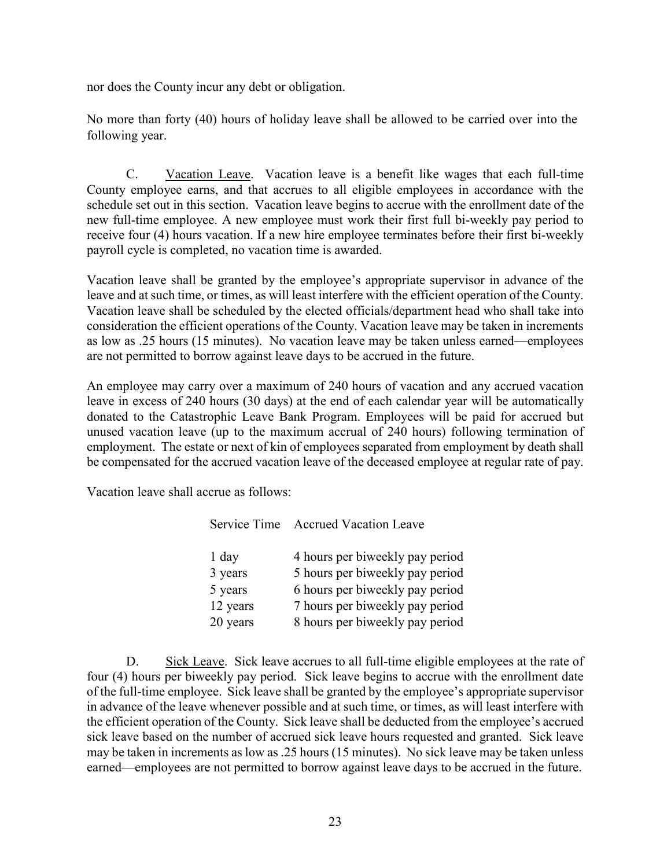nor does the County incur any debt or obligation.

No more than forty (40) hours of holiday leave shall be allowed to be carried over into the following year.

C. Vacation Leave. Vacation leave is a benefit like wages that each full-time County employee earns, and that accrues to all eligible employees in accordance with the schedule set out in this section. Vacation leave begins to accrue with the enrollment date of the new full-time employee. A new employee must work their first full bi-weekly pay period to receive four (4) hours vacation. If a new hire employee terminates before their first bi-weekly payroll cycle is completed, no vacation time is awarded.

Vacation leave shall be granted by the employee's appropriate supervisor in advance of the leave and at such time, or times, as will least interfere with the efficient operation of the County. Vacation leave shall be scheduled by the elected officials/department head who shall take into consideration the efficient operations of the County. Vacation leave may be taken in increments as low as .25 hours (15 minutes). No vacation leave may be taken unless earned—employees are not permitted to borrow against leave days to be accrued in the future.

An employee may carry over a maximum of 240 hours of vacation and any accrued vacation leave in excess of 240 hours (30 days) at the end of each calendar year will be automatically donated to the Catastrophic Leave Bank Program. Employees will be paid for accrued but unused vacation leave (up to the maximum accrual of 240 hours) following termination of employment. The estate or next of kin of employees separated from employment by death shall be compensated for the accrued vacation leave of the deceased employee at regular rate of pay.

Vacation leave shall accrue as follows:

|          | Service Time Accrued Vacation Leave |
|----------|-------------------------------------|
| 1 day    | 4 hours per biweekly pay period     |
| 3 years  | 5 hours per biweekly pay period     |
| 5 years  | 6 hours per biweekly pay period     |
| 12 years | 7 hours per biweekly pay period     |
| 20 years | 8 hours per biweekly pay period     |

D. Sick Leave. Sick leave accrues to all full-time eligible employees at the rate of four (4) hours per biweekly pay period. Sick leave begins to accrue with the enrollment date of the full-time employee. Sick leave shall be granted by the employee's appropriate supervisor in advance of the leave whenever possible and at such time, or times, as will least interfere with the efficient operation of the County. Sick leave shall be deducted from the employee's accrued sick leave based on the number of accrued sick leave hours requested and granted. Sick leave may be taken in increments as low as .25 hours (15 minutes). No sick leave may be taken unless earned—employees are not permitted to borrow against leave days to be accrued in the future.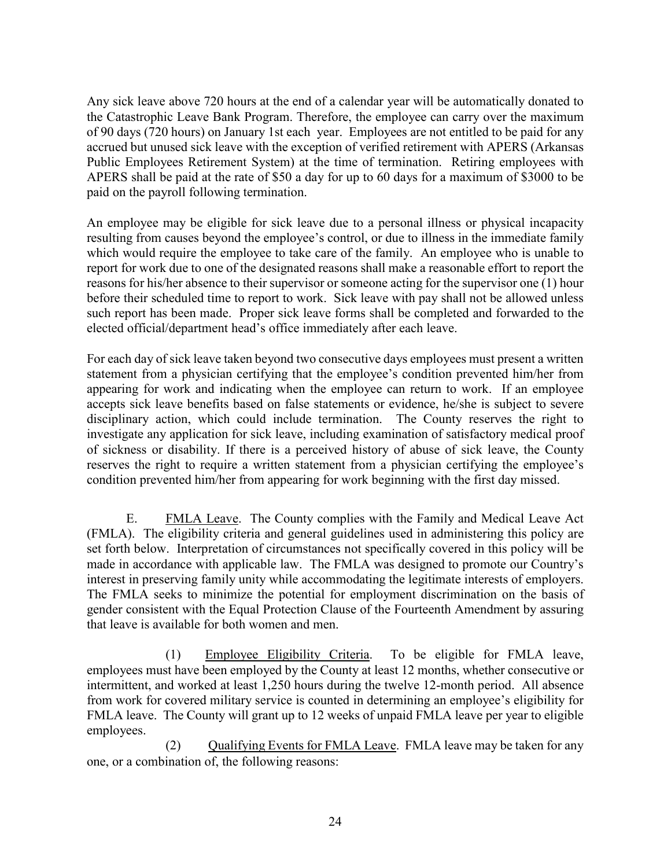Any sick leave above 720 hours at the end of a calendar year will be automatically donated to the Catastrophic Leave Bank Program. Therefore, the employee can carry over the maximum of 90 days (720 hours) on January 1st each year. Employees are not entitled to be paid for any accrued but unused sick leave with the exception of verified retirement with APERS (Arkansas Public Employees Retirement System) at the time of termination. Retiring employees with APERS shall be paid at the rate of \$50 a day for up to 60 days for a maximum of \$3000 to be paid on the payroll following termination.

An employee may be eligible for sick leave due to a personal illness or physical incapacity resulting from causes beyond the employee's control, or due to illness in the immediate family which would require the employee to take care of the family. An employee who is unable to report for work due to one of the designated reasons shall make a reasonable effort to report the reasons for his/her absence to their supervisor or someone acting for the supervisor one (1) hour before their scheduled time to report to work. Sick leave with pay shall not be allowed unless such report has been made. Proper sick leave forms shall be completed and forwarded to the elected official/department head's office immediately after each leave.

For each day of sick leave taken beyond two consecutive days employees must present a written statement from a physician certifying that the employee's condition prevented him/her from appearing for work and indicating when the employee can return to work. If an employee accepts sick leave benefits based on false statements or evidence, he/she is subject to severe disciplinary action, which could include termination. The County reserves the right to investigate any application for sick leave, including examination of satisfactory medical proof of sickness or disability. If there is a perceived history of abuse of sick leave, the County reserves the right to require a written statement from a physician certifying the employee's condition prevented him/her from appearing for work beginning with the first day missed.

E. FMLA Leave. The County complies with the Family and Medical Leave Act (FMLA). The eligibility criteria and general guidelines used in administering this policy are set forth below. Interpretation of circumstances not specifically covered in this policy will be made in accordance with applicable law. The FMLA was designed to promote our Country's interest in preserving family unity while accommodating the legitimate interests of employers. The FMLA seeks to minimize the potential for employment discrimination on the basis of gender consistent with the Equal Protection Clause of the Fourteenth Amendment by assuring that leave is available for both women and men.

(1) Employee Eligibility Criteria. To be eligible for FMLA leave, employees must have been employed by the County at least 12 months, whether consecutive or intermittent, and worked at least 1,250 hours during the twelve 12-month period. All absence from work for covered military service is counted in determining an employee's eligibility for FMLA leave. The County will grant up to 12 weeks of unpaid FMLA leave per year to eligible employees.

 (2) Qualifying Events for FMLA Leave. FMLA leave may be taken for any one, or a combination of, the following reasons: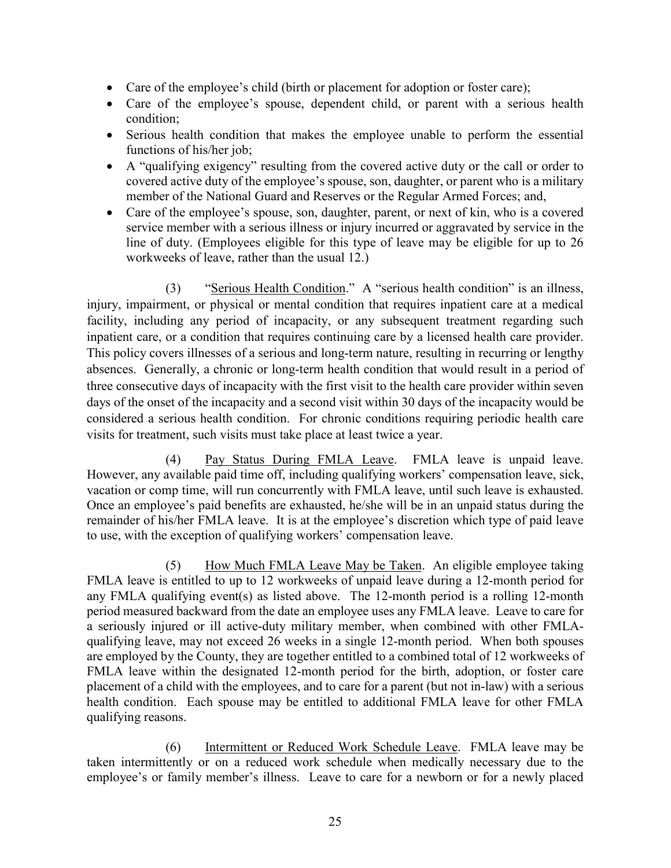- Care of the employee's child (birth or placement for adoption or foster care);
- Care of the employee's spouse, dependent child, or parent with a serious health condition;
- Serious health condition that makes the employee unable to perform the essential functions of his/her job;
- A "qualifying exigency" resulting from the covered active duty or the call or order to covered active duty of the employee's spouse, son, daughter, or parent who is a military member of the National Guard and Reserves or the Regular Armed Forces; and,
- Care of the employee's spouse, son, daughter, parent, or next of kin, who is a covered service member with a serious illness or injury incurred or aggravated by service in the line of duty. (Employees eligible for this type of leave may be eligible for up to 26 workweeks of leave, rather than the usual 12.)

(3) "Serious Health Condition." A "serious health condition" is an illness, injury, impairment, or physical or mental condition that requires inpatient care at a medical facility, including any period of incapacity, or any subsequent treatment regarding such inpatient care, or a condition that requires continuing care by a licensed health care provider. This policy covers illnesses of a serious and long-term nature, resulting in recurring or lengthy absences. Generally, a chronic or long-term health condition that would result in a period of three consecutive days of incapacity with the first visit to the health care provider within seven days of the onset of the incapacity and a second visit within 30 days of the incapacity would be considered a serious health condition. For chronic conditions requiring periodic health care visits for treatment, such visits must take place at least twice a year.

(4) Pay Status During FMLA Leave. FMLA leave is unpaid leave. However, any available paid time off, including qualifying workers' compensation leave, sick, vacation or comp time, will run concurrently with FMLA leave, until such leave is exhausted. Once an employee's paid benefits are exhausted, he/she will be in an unpaid status during the remainder of his/her FMLA leave. It is at the employee's discretion which type of paid leave to use, with the exception of qualifying workers' compensation leave.

(5) How Much FMLA Leave May be Taken. An eligible employee taking FMLA leave is entitled to up to 12 workweeks of unpaid leave during a 12-month period for any FMLA qualifying event(s) as listed above. The 12-month period is a rolling 12-month period measured backward from the date an employee uses any FMLA leave. Leave to care for a seriously injured or ill active-duty military member, when combined with other FMLAqualifying leave, may not exceed 26 weeks in a single 12-month period. When both spouses are employed by the County, they are together entitled to a combined total of 12 workweeks of FMLA leave within the designated 12-month period for the birth, adoption, or foster care placement of a child with the employees, and to care for a parent (but not in-law) with a serious health condition. Each spouse may be entitled to additional FMLA leave for other FMLA qualifying reasons.

(6) Intermittent or Reduced Work Schedule Leave. FMLA leave may be taken intermittently or on a reduced work schedule when medically necessary due to the employee's or family member's illness. Leave to care for a newborn or for a newly placed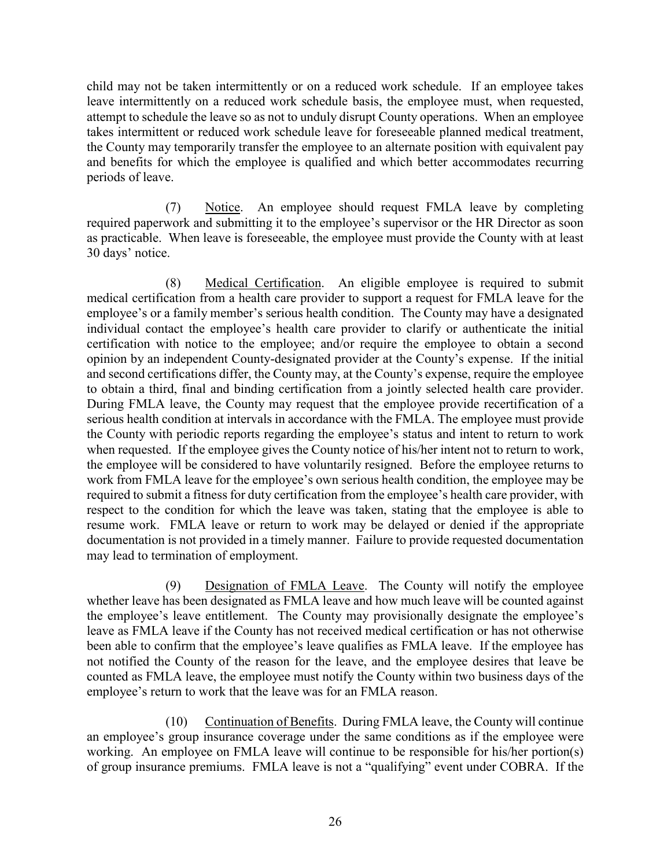child may not be taken intermittently or on a reduced work schedule. If an employee takes leave intermittently on a reduced work schedule basis, the employee must, when requested, attempt to schedule the leave so as not to unduly disrupt County operations. When an employee takes intermittent or reduced work schedule leave for foreseeable planned medical treatment, the County may temporarily transfer the employee to an alternate position with equivalent pay and benefits for which the employee is qualified and which better accommodates recurring periods of leave.

(7) Notice. An employee should request FMLA leave by completing required paperwork and submitting it to the employee's supervisor or the HR Director as soon as practicable. When leave is foreseeable, the employee must provide the County with at least 30 days' notice.

(8) Medical Certification. An eligible employee is required to submit medical certification from a health care provider to support a request for FMLA leave for the employee's or a family member's serious health condition. The County may have a designated individual contact the employee's health care provider to clarify or authenticate the initial certification with notice to the employee; and/or require the employee to obtain a second opinion by an independent County-designated provider at the County's expense. If the initial and second certifications differ, the County may, at the County's expense, require the employee to obtain a third, final and binding certification from a jointly selected health care provider. During FMLA leave, the County may request that the employee provide recertification of a serious health condition at intervals in accordance with the FMLA. The employee must provide the County with periodic reports regarding the employee's status and intent to return to work when requested. If the employee gives the County notice of his/her intent not to return to work, the employee will be considered to have voluntarily resigned. Before the employee returns to work from FMLA leave for the employee's own serious health condition, the employee may be required to submit a fitness for duty certification from the employee's health care provider, with respect to the condition for which the leave was taken, stating that the employee is able to resume work. FMLA leave or return to work may be delayed or denied if the appropriate documentation is not provided in a timely manner. Failure to provide requested documentation may lead to termination of employment.

(9) Designation of FMLA Leave. The County will notify the employee whether leave has been designated as FMLA leave and how much leave will be counted against the employee's leave entitlement. The County may provisionally designate the employee's leave as FMLA leave if the County has not received medical certification or has not otherwise been able to confirm that the employee's leave qualifies as FMLA leave. If the employee has not notified the County of the reason for the leave, and the employee desires that leave be counted as FMLA leave, the employee must notify the County within two business days of the employee's return to work that the leave was for an FMLA reason.

(10) Continuation of Benefits. During FMLA leave, the County will continue an employee's group insurance coverage under the same conditions as if the employee were working. An employee on FMLA leave will continue to be responsible for his/her portion(s) of group insurance premiums. FMLA leave is not a "qualifying" event under COBRA. If the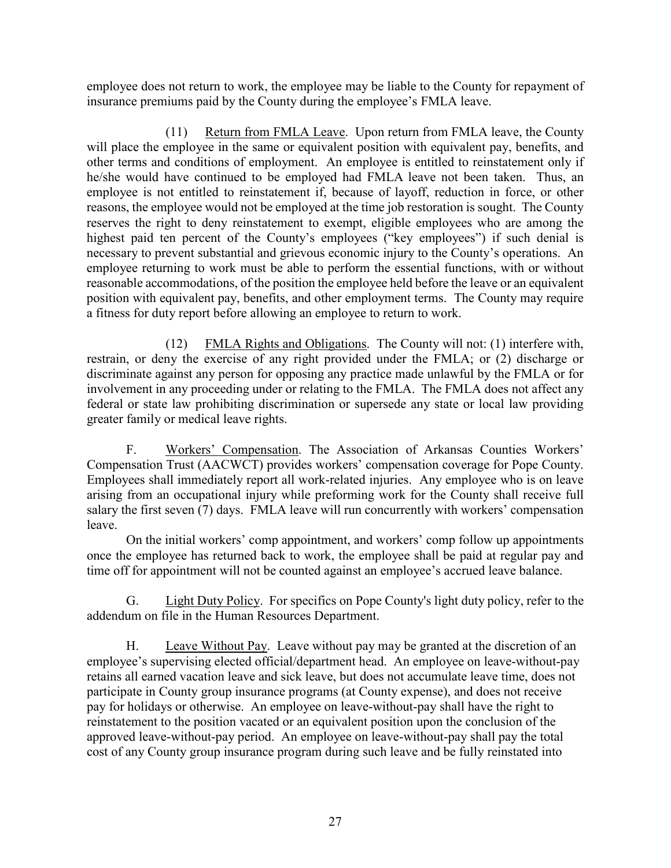employee does not return to work, the employee may be liable to the County for repayment of insurance premiums paid by the County during the employee's FMLA leave.

(11) Return from FMLA Leave. Upon return from FMLA leave, the County will place the employee in the same or equivalent position with equivalent pay, benefits, and other terms and conditions of employment. An employee is entitled to reinstatement only if he/she would have continued to be employed had FMLA leave not been taken. Thus, an employee is not entitled to reinstatement if, because of layoff, reduction in force, or other reasons, the employee would not be employed at the time job restoration is sought. The County reserves the right to deny reinstatement to exempt, eligible employees who are among the highest paid ten percent of the County's employees ("key employees") if such denial is necessary to prevent substantial and grievous economic injury to the County's operations. An employee returning to work must be able to perform the essential functions, with or without reasonable accommodations, of the position the employee held before the leave or an equivalent position with equivalent pay, benefits, and other employment terms. The County may require a fitness for duty report before allowing an employee to return to work.

(12) FMLA Rights and Obligations. The County will not: (1) interfere with, restrain, or deny the exercise of any right provided under the FMLA; or (2) discharge or discriminate against any person for opposing any practice made unlawful by the FMLA or for involvement in any proceeding under or relating to the FMLA. The FMLA does not affect any federal or state law prohibiting discrimination or supersede any state or local law providing greater family or medical leave rights.

F. Workers' Compensation. The Association of Arkansas Counties Workers' Compensation Trust (AACWCT) provides workers' compensation coverage for Pope County. Employees shall immediately report all work-related injuries. Any employee who is on leave arising from an occupational injury while preforming work for the County shall receive full salary the first seven (7) days. FMLA leave will run concurrently with workers' compensation leave.

On the initial workers' comp appointment, and workers' comp follow up appointments once the employee has returned back to work, the employee shall be paid at regular pay and time off for appointment will not be counted against an employee's accrued leave balance.

G. Light Duty Policy. For specifics on Pope County's light duty policy, refer to the addendum on file in the Human Resources Department.

H. Leave Without Pay. Leave without pay may be granted at the discretion of an employee's supervising elected official/department head. An employee on leave-without-pay retains all earned vacation leave and sick leave, but does not accumulate leave time, does not participate in County group insurance programs (at County expense), and does not receive pay for holidays or otherwise. An employee on leave-without-pay shall have the right to reinstatement to the position vacated or an equivalent position upon the conclusion of the approved leave-without-pay period. An employee on leave-without-pay shall pay the total cost of any County group insurance program during such leave and be fully reinstated into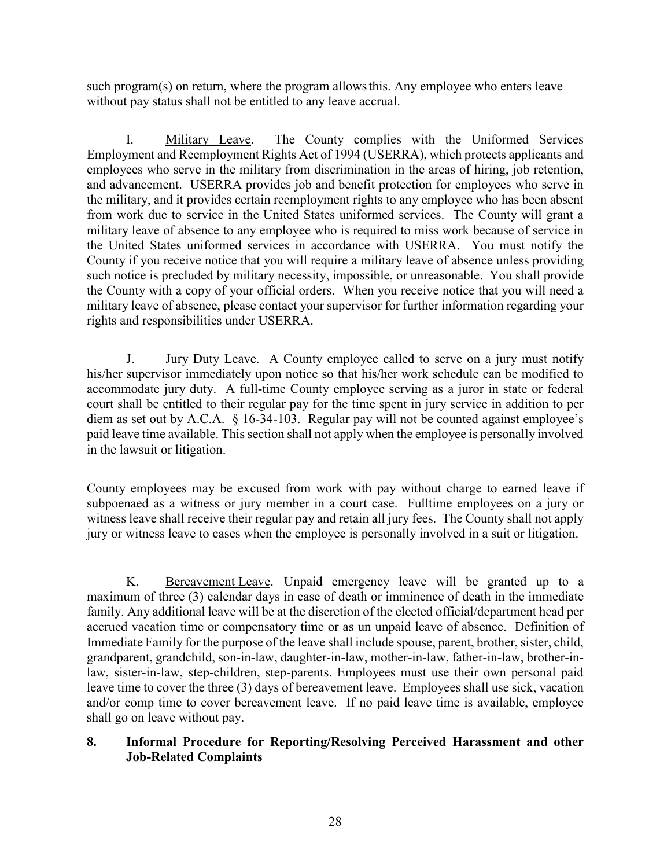such program(s) on return, where the program allowsthis. Any employee who enters leave without pay status shall not be entitled to any leave accrual.

I. Military Leave. The County complies with the Uniformed Services Employment and Reemployment Rights Act of 1994 (USERRA), which protects applicants and employees who serve in the military from discrimination in the areas of hiring, job retention, and advancement. USERRA provides job and benefit protection for employees who serve in the military, and it provides certain reemployment rights to any employee who has been absent from work due to service in the United States uniformed services. The County will grant a military leave of absence to any employee who is required to miss work because of service in the United States uniformed services in accordance with USERRA. You must notify the County if you receive notice that you will require a military leave of absence unless providing such notice is precluded by military necessity, impossible, or unreasonable. You shall provide the County with a copy of your official orders. When you receive notice that you will need a military leave of absence, please contact your supervisor for further information regarding your rights and responsibilities under USERRA.

J. Jury Duty Leave. A County employee called to serve on a jury must notify his/her supervisor immediately upon notice so that his/her work schedule can be modified to accommodate jury duty. A full-time County employee serving as a juror in state or federal court shall be entitled to their regular pay for the time spent in jury service in addition to per diem as set out by A.C.A. § 16-34-103. Regular pay will not be counted against employee's paid leave time available. This section shall not apply when the employee is personally involved in the lawsuit or litigation.

County employees may be excused from work with pay without charge to earned leave if subpoenaed as a witness or jury member in a court case. Fulltime employees on a jury or witness leave shall receive their regular pay and retain all jury fees. The County shall not apply jury or witness leave to cases when the employee is personally involved in a suit or litigation.

K. Bereavement Leave. Unpaid emergency leave will be granted up to a maximum of three (3) calendar days in case of death or imminence of death in the immediate family. Any additional leave will be at the discretion of the elected official/department head per accrued vacation time or compensatory time or as un unpaid leave of absence. Definition of Immediate Family for the purpose of the leave shall include spouse, parent, brother, sister, child, grandparent, grandchild, son-in-law, daughter-in-law, mother-in-law, father-in-law, brother-inlaw, sister-in-law, step-children, step-parents. Employees must use their own personal paid leave time to cover the three (3) days of bereavement leave. Employees shall use sick, vacation and/or comp time to cover bereavement leave. If no paid leave time is available, employee shall go on leave without pay.

#### **8. Informal Procedure for Reporting/Resolving Perceived Harassment and other Job-Related Complaints**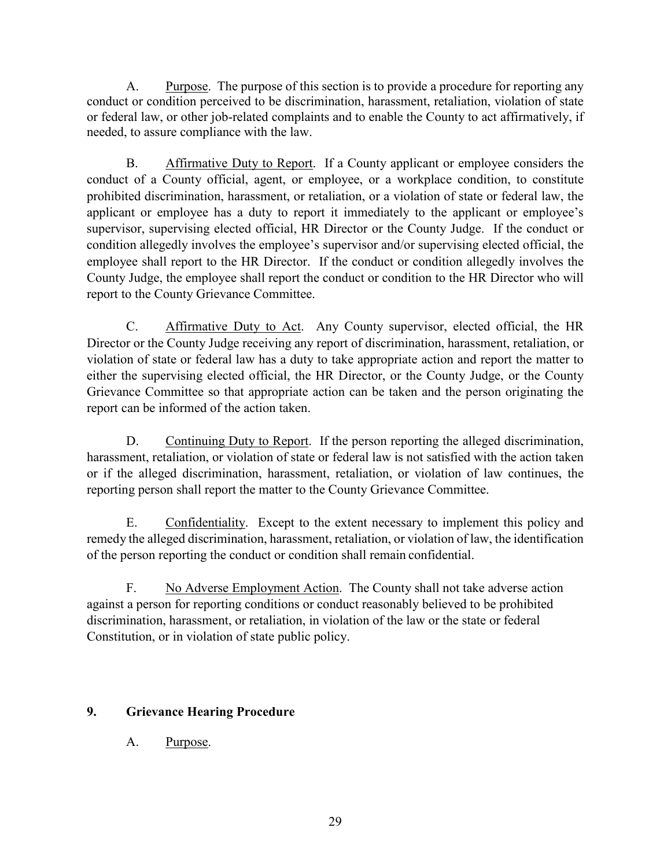A. Purpose. The purpose of this section is to provide a procedure for reporting any conduct or condition perceived to be discrimination, harassment, retaliation, violation of state or federal law, or other job-related complaints and to enable the County to act affirmatively, if needed, to assure compliance with the law.

B. Affirmative Duty to Report. If a County applicant or employee considers the conduct of a County official, agent, or employee, or a workplace condition, to constitute prohibited discrimination, harassment, or retaliation, or a violation of state or federal law, the applicant or employee has a duty to report it immediately to the applicant or employee's supervisor, supervising elected official, HR Director or the County Judge. If the conduct or condition allegedly involves the employee's supervisor and/or supervising elected official, the employee shall report to the HR Director. If the conduct or condition allegedly involves the County Judge, the employee shall report the conduct or condition to the HR Director who will report to the County Grievance Committee.

C. Affirmative Duty to Act. Any County supervisor, elected official, the HR Director or the County Judge receiving any report of discrimination, harassment, retaliation, or violation of state or federal law has a duty to take appropriate action and report the matter to either the supervising elected official, the HR Director, or the County Judge, or the County Grievance Committee so that appropriate action can be taken and the person originating the report can be informed of the action taken.

D. Continuing Duty to Report. If the person reporting the alleged discrimination, harassment, retaliation, or violation of state or federal law is not satisfied with the action taken or if the alleged discrimination, harassment, retaliation, or violation of law continues, the reporting person shall report the matter to the County Grievance Committee.

E. Confidentiality. Except to the extent necessary to implement this policy and remedy the alleged discrimination, harassment, retaliation, or violation of law, the identification of the person reporting the conduct or condition shall remain confidential.

F. No Adverse Employment Action. The County shall not take adverse action against a person for reporting conditions or conduct reasonably believed to be prohibited discrimination, harassment, or retaliation, in violation of the law or the state or federal Constitution, or in violation of state public policy.

# **9. Grievance Hearing Procedure**

A. Purpose.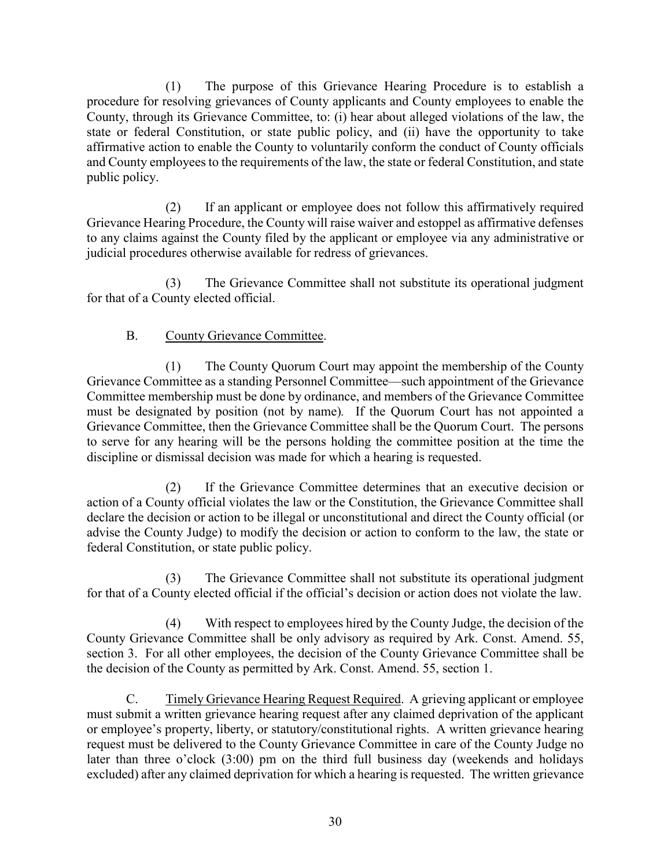(1) The purpose of this Grievance Hearing Procedure is to establish a procedure for resolving grievances of County applicants and County employees to enable the County, through its Grievance Committee, to: (i) hear about alleged violations of the law, the state or federal Constitution, or state public policy, and (ii) have the opportunity to take affirmative action to enable the County to voluntarily conform the conduct of County officials and County employees to the requirements of the law, the state or federal Constitution, and state public policy.

(2) If an applicant or employee does not follow this affirmatively required Grievance Hearing Procedure, the County will raise waiver and estoppel as affirmative defenses to any claims against the County filed by the applicant or employee via any administrative or judicial procedures otherwise available for redress of grievances.

(3) The Grievance Committee shall not substitute its operational judgment for that of a County elected official.

# B. County Grievance Committee.

(1) The County Quorum Court may appoint the membership of the County Grievance Committee as a standing Personnel Committee—such appointment of the Grievance Committee membership must be done by ordinance, and members of the Grievance Committee must be designated by position (not by name)*.* If the Quorum Court has not appointed a Grievance Committee, then the Grievance Committee shall be the Quorum Court. The persons to serve for any hearing will be the persons holding the committee position at the time the discipline or dismissal decision was made for which a hearing is requested.

(2) If the Grievance Committee determines that an executive decision or action of a County official violates the law or the Constitution, the Grievance Committee shall declare the decision or action to be illegal or unconstitutional and direct the County official (or advise the County Judge) to modify the decision or action to conform to the law, the state or federal Constitution, or state public policy.

(3) The Grievance Committee shall not substitute its operational judgment for that of a County elected official if the official's decision or action does not violate the law.

(4) With respect to employees hired by the County Judge, the decision of the County Grievance Committee shall be only advisory as required by Ark. Const. Amend. 55, section 3. For all other employees, the decision of the County Grievance Committee shall be the decision of the County as permitted by Ark. Const. Amend. 55, section 1.

C. Timely Grievance Hearing Request Required. A grieving applicant or employee must submit a written grievance hearing request after any claimed deprivation of the applicant or employee's property, liberty, or statutory/constitutional rights. A written grievance hearing request must be delivered to the County Grievance Committee in care of the County Judge no later than three o'clock (3:00) pm on the third full business day (weekends and holidays excluded) after any claimed deprivation for which a hearing is requested. The written grievance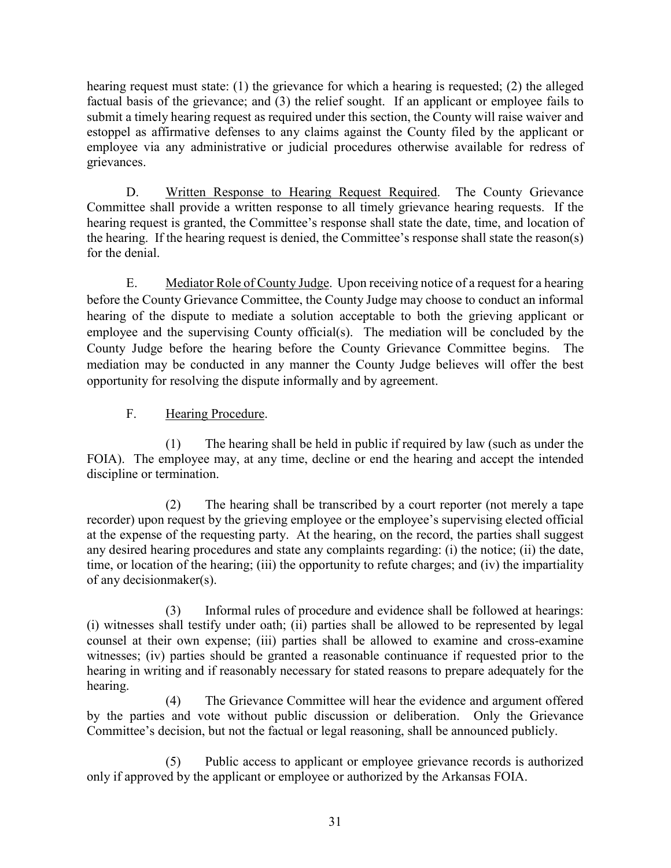hearing request must state: (1) the grievance for which a hearing is requested; (2) the alleged factual basis of the grievance; and (3) the relief sought. If an applicant or employee fails to submit a timely hearing request as required under this section, the County will raise waiver and estoppel as affirmative defenses to any claims against the County filed by the applicant or employee via any administrative or judicial procedures otherwise available for redress of grievances.

D. Written Response to Hearing Request Required. The County Grievance Committee shall provide a written response to all timely grievance hearing requests. If the hearing request is granted, the Committee's response shall state the date, time, and location of the hearing. If the hearing request is denied, the Committee's response shall state the reason(s) for the denial.

E. Mediator Role of County Judge. Upon receiving notice of a request for a hearing before the County Grievance Committee, the County Judge may choose to conduct an informal hearing of the dispute to mediate a solution acceptable to both the grieving applicant or employee and the supervising County official(s). The mediation will be concluded by the County Judge before the hearing before the County Grievance Committee begins. The mediation may be conducted in any manner the County Judge believes will offer the best opportunity for resolving the dispute informally and by agreement.

F. Hearing Procedure.

(1) The hearing shall be held in public if required by law (such as under the FOIA). The employee may, at any time, decline or end the hearing and accept the intended discipline or termination.

(2) The hearing shall be transcribed by a court reporter (not merely a tape recorder) upon request by the grieving employee or the employee's supervising elected official at the expense of the requesting party. At the hearing, on the record, the parties shall suggest any desired hearing procedures and state any complaints regarding: (i) the notice; (ii) the date, time, or location of the hearing; (iii) the opportunity to refute charges; and (iv) the impartiality of any decisionmaker(s).

(3) Informal rules of procedure and evidence shall be followed at hearings: (i) witnesses shall testify under oath; (ii) parties shall be allowed to be represented by legal counsel at their own expense; (iii) parties shall be allowed to examine and cross-examine witnesses; (iv) parties should be granted a reasonable continuance if requested prior to the hearing in writing and if reasonably necessary for stated reasons to prepare adequately for the hearing.

(4) The Grievance Committee will hear the evidence and argument offered by the parties and vote without public discussion or deliberation. Only the Grievance Committee's decision, but not the factual or legal reasoning, shall be announced publicly.

(5) Public access to applicant or employee grievance records is authorized only if approved by the applicant or employee or authorized by the Arkansas FOIA.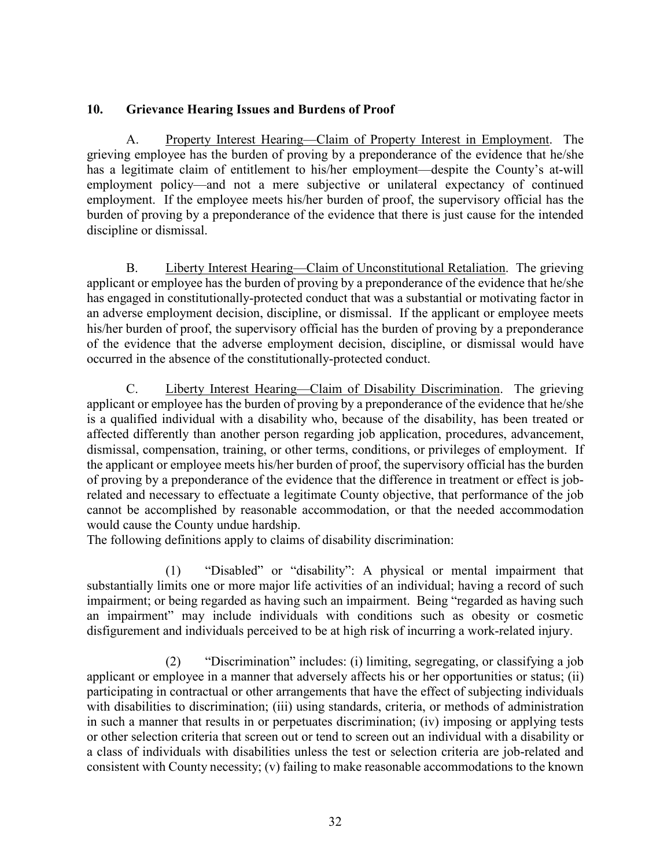## **10. Grievance Hearing Issues and Burdens of Proof**

A. Property Interest Hearing—Claim of Property Interest in Employment. The grieving employee has the burden of proving by a preponderance of the evidence that he/she has a legitimate claim of entitlement to his/her employment—despite the County's at-will employment policy—and not a mere subjective or unilateral expectancy of continued employment. If the employee meets his/her burden of proof, the supervisory official has the burden of proving by a preponderance of the evidence that there is just cause for the intended discipline or dismissal.

B. Liberty Interest Hearing—Claim of Unconstitutional Retaliation. The grieving applicant or employee has the burden of proving by a preponderance of the evidence that he/she has engaged in constitutionally-protected conduct that was a substantial or motivating factor in an adverse employment decision, discipline, or dismissal. If the applicant or employee meets his/her burden of proof, the supervisory official has the burden of proving by a preponderance of the evidence that the adverse employment decision, discipline, or dismissal would have occurred in the absence of the constitutionally-protected conduct.

C. Liberty Interest Hearing—Claim of Disability Discrimination. The grieving applicant or employee has the burden of proving by a preponderance of the evidence that he/she is a qualified individual with a disability who, because of the disability, has been treated or affected differently than another person regarding job application, procedures, advancement, dismissal, compensation, training, or other terms, conditions, or privileges of employment. If the applicant or employee meets his/her burden of proof, the supervisory official has the burden of proving by a preponderance of the evidence that the difference in treatment or effect is jobrelated and necessary to effectuate a legitimate County objective, that performance of the job cannot be accomplished by reasonable accommodation, or that the needed accommodation would cause the County undue hardship.

The following definitions apply to claims of disability discrimination:

(1) "Disabled" or "disability": A physical or mental impairment that substantially limits one or more major life activities of an individual; having a record of such impairment; or being regarded as having such an impairment. Being "regarded as having such an impairment" may include individuals with conditions such as obesity or cosmetic disfigurement and individuals perceived to be at high risk of incurring a work-related injury.

(2) "Discrimination" includes: (i) limiting, segregating, or classifying a job applicant or employee in a manner that adversely affects his or her opportunities or status; (ii) participating in contractual or other arrangements that have the effect of subjecting individuals with disabilities to discrimination; (iii) using standards, criteria, or methods of administration in such a manner that results in or perpetuates discrimination; (iv) imposing or applying tests or other selection criteria that screen out or tend to screen out an individual with a disability or a class of individuals with disabilities unless the test or selection criteria are job-related and consistent with County necessity; (v) failing to make reasonable accommodations to the known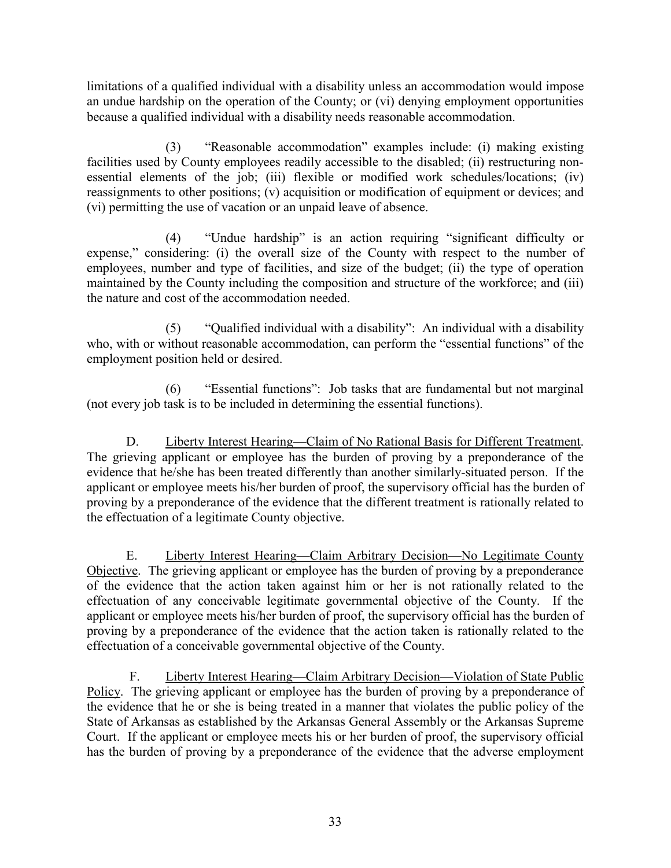limitations of a qualified individual with a disability unless an accommodation would impose an undue hardship on the operation of the County; or (vi) denying employment opportunities because a qualified individual with a disability needs reasonable accommodation.

(3) "Reasonable accommodation" examples include: (i) making existing facilities used by County employees readily accessible to the disabled; (ii) restructuring nonessential elements of the job; (iii) flexible or modified work schedules/locations; (iv) reassignments to other positions; (v) acquisition or modification of equipment or devices; and (vi) permitting the use of vacation or an unpaid leave of absence.

(4) "Undue hardship" is an action requiring "significant difficulty or expense," considering: (i) the overall size of the County with respect to the number of employees, number and type of facilities, and size of the budget; (ii) the type of operation maintained by the County including the composition and structure of the workforce; and (iii) the nature and cost of the accommodation needed.

(5) "Qualified individual with a disability": An individual with a disability who, with or without reasonable accommodation, can perform the "essential functions" of the employment position held or desired.

(6) "Essential functions": Job tasks that are fundamental but not marginal (not every job task is to be included in determining the essential functions).

D. Liberty Interest Hearing—Claim of No Rational Basis for Different Treatment. The grieving applicant or employee has the burden of proving by a preponderance of the evidence that he/she has been treated differently than another similarly-situated person. If the applicant or employee meets his/her burden of proof, the supervisory official has the burden of proving by a preponderance of the evidence that the different treatment is rationally related to the effectuation of a legitimate County objective.

E. Liberty Interest Hearing—Claim Arbitrary Decision—No Legitimate County Objective. The grieving applicant or employee has the burden of proving by a preponderance of the evidence that the action taken against him or her is not rationally related to the effectuation of any conceivable legitimate governmental objective of the County. If the applicant or employee meets his/her burden of proof, the supervisory official has the burden of proving by a preponderance of the evidence that the action taken is rationally related to the effectuation of a conceivable governmental objective of the County.

F. Liberty Interest Hearing—Claim Arbitrary Decision—Violation of State Public Policy. The grieving applicant or employee has the burden of proving by a preponderance of the evidence that he or she is being treated in a manner that violates the public policy of the State of Arkansas as established by the Arkansas General Assembly or the Arkansas Supreme Court. If the applicant or employee meets his or her burden of proof, the supervisory official has the burden of proving by a preponderance of the evidence that the adverse employment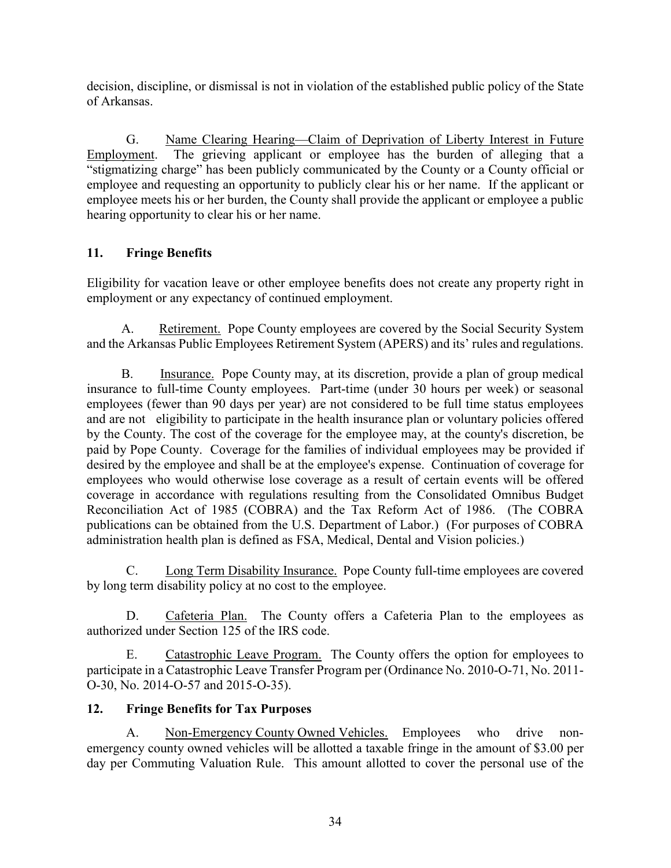decision, discipline, or dismissal is not in violation of the established public policy of the State of Arkansas.

G. Name Clearing Hearing—Claim of Deprivation of Liberty Interest in Future Employment. The grieving applicant or employee has the burden of alleging that a "stigmatizing charge" has been publicly communicated by the County or a County official or employee and requesting an opportunity to publicly clear his or her name. If the applicant or employee meets his or her burden, the County shall provide the applicant or employee a public hearing opportunity to clear his or her name.

# **11. Fringe Benefits**

Eligibility for vacation leave or other employee benefits does not create any property right in employment or any expectancy of continued employment.

A. Retirement. Pope County employees are covered by the Social Security System and the Arkansas Public Employees Retirement System (APERS) and its' rules and regulations.

B. Insurance. Pope County may, at its discretion, provide a plan of group medical insurance to full-time County employees. Part-time (under 30 hours per week) or seasonal employees (fewer than 90 days per year) are not considered to be full time status employees and are not eligibility to participate in the health insurance plan or voluntary policies offered by the County. The cost of the coverage for the employee may, at the county's discretion, be paid by Pope County. Coverage for the families of individual employees may be provided if desired by the employee and shall be at the employee's expense. Continuation of coverage for employees who would otherwise lose coverage as a result of certain events will be offered coverage in accordance with regulations resulting from the Consolidated Omnibus Budget Reconciliation Act of 1985 (COBRA) and the Tax Reform Act of 1986. (The COBRA publications can be obtained from the U.S. Department of Labor.) (For purposes of COBRA administration health plan is defined as FSA, Medical, Dental and Vision policies.)

C. Long Term Disability Insurance. Pope County full-time employees are covered by long term disability policy at no cost to the employee.

D. Cafeteria Plan. The County offers a Cafeteria Plan to the employees as authorized under Section 125 of the IRS code.

E. Catastrophic Leave Program. The County offers the option for employees to participate in a Catastrophic Leave Transfer Program per (Ordinance No. 2010-O-71, No. 2011- O-30, No. 2014-O-57 and 2015-O-35).

# **12. Fringe Benefits for Tax Purposes**

A. Non-Emergency County Owned Vehicles. Employees who drive nonemergency county owned vehicles will be allotted a taxable fringe in the amount of \$3.00 per day per Commuting Valuation Rule. This amount allotted to cover the personal use of the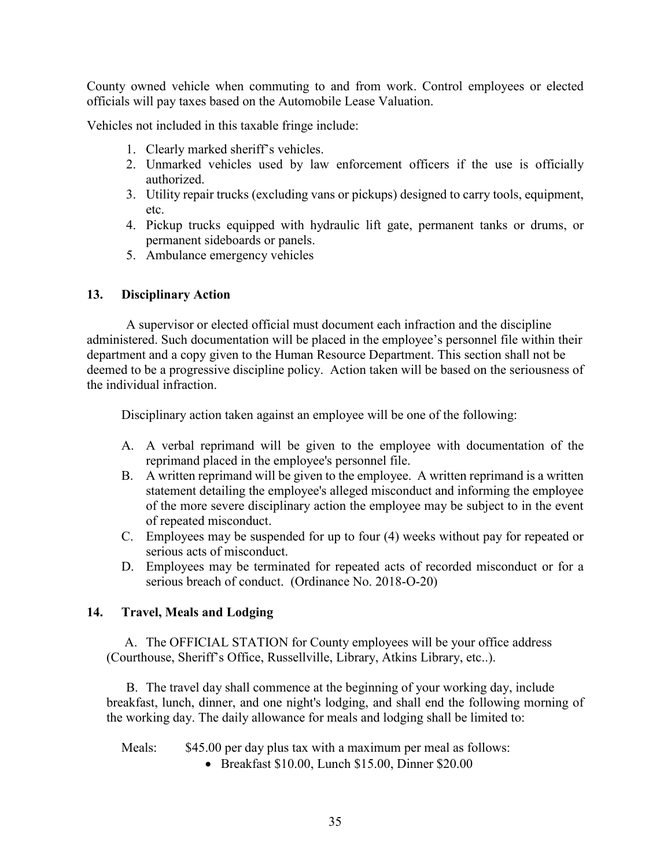County owned vehicle when commuting to and from work. Control employees or elected officials will pay taxes based on the Automobile Lease Valuation.

Vehicles not included in this taxable fringe include:

- 1. Clearly marked sheriff's vehicles.
- 2. Unmarked vehicles used by law enforcement officers if the use is officially authorized.
- 3. Utility repair trucks (excluding vans or pickups) designed to carry tools, equipment, etc.
- 4. Pickup trucks equipped with hydraulic lift gate, permanent tanks or drums, or permanent sideboards or panels.
- 5. Ambulance emergency vehicles

#### **13. Disciplinary Action**

 A supervisor or elected official must document each infraction and the discipline administered. Such documentation will be placed in the employee's personnel file within their department and a copy given to the Human Resource Department. This section shall not be deemed to be a progressive discipline policy. Action taken will be based on the seriousness of the individual infraction.

Disciplinary action taken against an employee will be one of the following:

- A. A verbal reprimand will be given to the employee with documentation of the reprimand placed in the employee's personnel file.
- B. A written reprimand will be given to the employee. A written reprimand is a written statement detailing the employee's alleged misconduct and informing the employee of the more severe disciplinary action the employee may be subject to in the event of repeated misconduct.
- C. Employees may be suspended for up to four (4) weeks without pay for repeated or serious acts of misconduct.
- D. Employees may be terminated for repeated acts of recorded misconduct or for a serious breach of conduct. (Ordinance No. 2018-O-20)

## **14. Travel, Meals and Lodging**

A. The OFFICIAL STATION for County employees will be your office address (Courthouse, Sheriff's Office, Russellville, Library, Atkins Library, etc..).

B. The travel day shall commence at the beginning of your working day, include breakfast, lunch, dinner, and one night's lodging, and shall end the following morning of the working day. The daily allowance for meals and lodging shall be limited to:

Meals: \$45.00 per day plus tax with a maximum per meal as follows:

• Breakfast \$10.00, Lunch \$15.00, Dinner \$20.00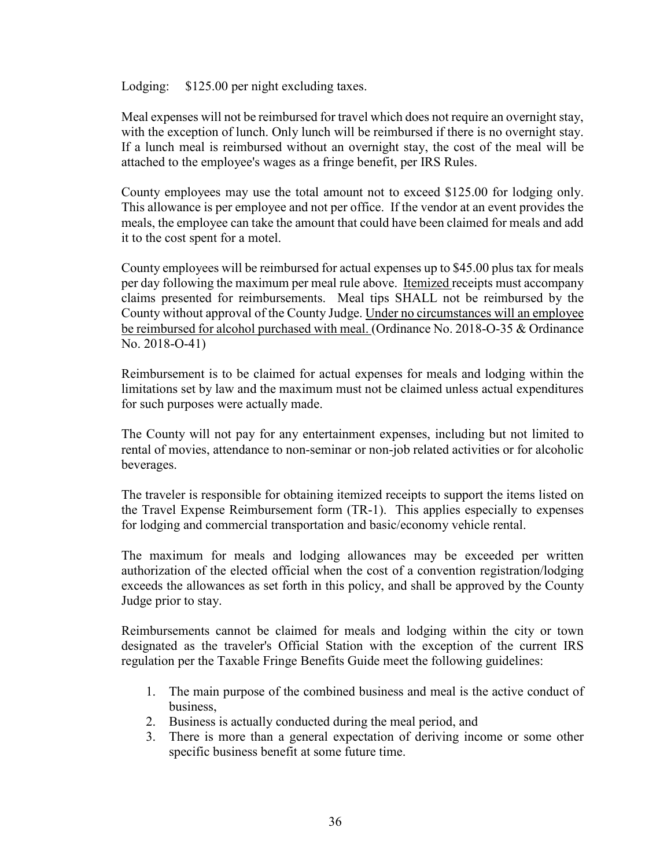Lodging: \$125.00 per night excluding taxes.

Meal expenses will not be reimbursed for travel which does not require an overnight stay, with the exception of lunch. Only lunch will be reimbursed if there is no overnight stay. If a lunch meal is reimbursed without an overnight stay, the cost of the meal will be attached to the employee's wages as a fringe benefit, per IRS Rules.

County employees may use the total amount not to exceed \$125.00 for lodging only. This allowance is per employee and not per office. If the vendor at an event provides the meals, the employee can take the amount that could have been claimed for meals and add it to the cost spent for a motel.

County employees will be reimbursed for actual expenses up to \$45.00 plus tax for meals per day following the maximum per meal rule above. Itemized receipts must accompany claims presented for reimbursements. Meal tips SHALL not be reimbursed by the County without approval of the County Judge. Under no circumstances will an employee be reimbursed for alcohol purchased with meal. (Ordinance No. 2018-O-35 & Ordinance No. 2018-O-41)

Reimbursement is to be claimed for actual expenses for meals and lodging within the limitations set by law and the maximum must not be claimed unless actual expenditures for such purposes were actually made.

The County will not pay for any entertainment expenses, including but not limited to rental of movies, attendance to non-seminar or non-job related activities or for alcoholic beverages.

The traveler is responsible for obtaining itemized receipts to support the items listed on the Travel Expense Reimbursement form (TR-1). This applies especially to expenses for lodging and commercial transportation and basic/economy vehicle rental.

The maximum for meals and lodging allowances may be exceeded per written authorization of the elected official when the cost of a convention registration/lodging exceeds the allowances as set forth in this policy, and shall be approved by the County Judge prior to stay.

Reimbursements cannot be claimed for meals and lodging within the city or town designated as the traveler's Official Station with the exception of the current IRS regulation per the Taxable Fringe Benefits Guide meet the following guidelines:

- 1. The main purpose of the combined business and meal is the active conduct of business,
- 2. Business is actually conducted during the meal period, and
- 3. There is more than a general expectation of deriving income or some other specific business benefit at some future time.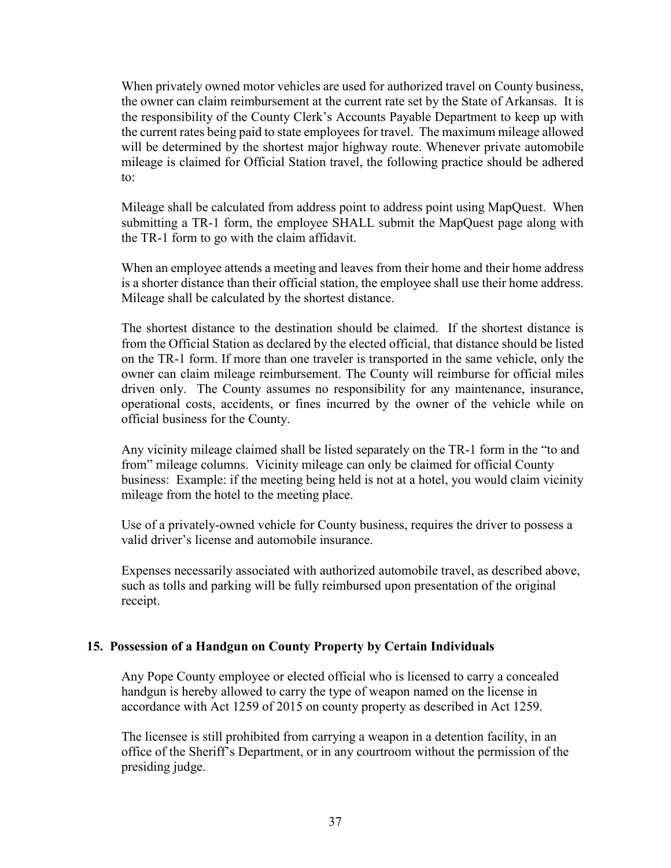When privately owned motor vehicles are used for authorized travel on County business, the owner can claim reimbursement at the current rate set by the State of Arkansas. It is the responsibility of the County Clerk's Accounts Payable Department to keep up with the current rates being paid to state employees for travel. The maximum mileage allowed will be determined by the shortest major highway route. Whenever private automobile mileage is claimed for Official Station travel, the following practice should be adhered to:

Mileage shall be calculated from address point to address point using MapQuest. When submitting a TR-1 form, the employee SHALL submit the MapQuest page along with the TR-1 form to go with the claim affidavit.

When an employee attends a meeting and leaves from their home and their home address is a shorter distance than their official station, the employee shall use their home address. Mileage shall be calculated by the shortest distance.

The shortest distance to the destination should be claimed. If the shortest distance is from the Official Station as declared by the elected official, that distance should be listed on the TR-1 form. If more than one traveler is transported in the same vehicle, only the owner can claim mileage reimbursement. The County will reimburse for official miles driven only. The County assumes no responsibility for any maintenance, insurance, operational costs, accidents, or fines incurred by the owner of the vehicle while on official business for the County.

Any vicinity mileage claimed shall be listed separately on the TR-1 form in the "to and from" mileage columns. Vicinity mileage can only be claimed for official County business: Example: if the meeting being held is not at a hotel, you would claim vicinity mileage from the hotel to the meeting place.

Use of a privately-owned vehicle for County business, requires the driver to possess a valid driver's license and automobile insurance.

Expenses necessarily associated with authorized automobile travel, as described above, such as tolls and parking will be fully reimbursed upon presentation of the original receipt.

#### **15. Possession of a Handgun on County Property by Certain Individuals**

Any Pope County employee or elected official who is licensed to carry a concealed handgun is hereby allowed to carry the type of weapon named on the license in accordance with Act 1259 of 2015 on county property as described in Act 1259.

The licensee is still prohibited from carrying a weapon in a detention facility, in an office of the Sheriff's Department, or in any courtroom without the permission of the presiding judge.